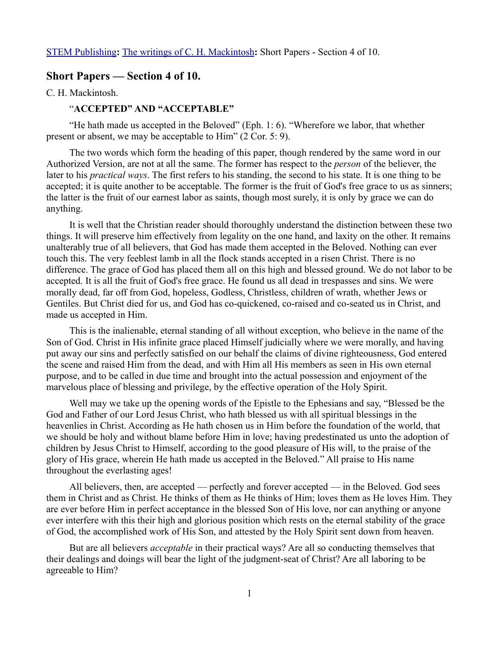[STEM Publishing](http://www.stempublishing.com/)**:** [The writings of C. H. Mackintosh](http://www.stempublishing.com/authors/mackintosh/index.html)**:** Short Papers - Section 4 of 10.

# **Short Papers — Section 4 of 10.**

### C. H. Mackintosh.

# "**ACCEPTED" AND "ACCEPTABLE"**

"He hath made us accepted in the Beloved" (Eph. 1: 6). "Wherefore we labor, that whether present or absent, we may be acceptable to Him" (2 Cor. 5: 9).

The two words which form the heading of this paper, though rendered by the same word in our Authorized Version, are not at all the same. The former has respect to the *person* of the believer, the later to his *practical ways*. The first refers to his standing, the second to his state. It is one thing to be accepted; it is quite another to be acceptable. The former is the fruit of God's free grace to us as sinners; the latter is the fruit of our earnest labor as saints, though most surely, it is only by grace we can do anything.

It is well that the Christian reader should thoroughly understand the distinction between these two things. It will preserve him effectively from legality on the one hand, and laxity on the other. It remains unalterably true of all believers, that God has made them accepted in the Beloved. Nothing can ever touch this. The very feeblest lamb in all the flock stands accepted in a risen Christ. There is no difference. The grace of God has placed them all on this high and blessed ground. We do not labor to be accepted. It is all the fruit of God's free grace. He found us all dead in trespasses and sins. We were morally dead, far off from God, hopeless, Godless, Christless, children of wrath, whether Jews or Gentiles. But Christ died for us, and God has co-quickened, co-raised and co-seated us in Christ, and made us accepted in Him.

This is the inalienable, eternal standing of all without exception, who believe in the name of the Son of God. Christ in His infinite grace placed Himself judicially where we were morally, and having put away our sins and perfectly satisfied on our behalf the claims of divine righteousness, God entered the scene and raised Him from the dead, and with Him all His members as seen in His own eternal purpose, and to be called in due time and brought into the actual possession and enjoyment of the marvelous place of blessing and privilege, by the effective operation of the Holy Spirit.

Well may we take up the opening words of the Epistle to the Ephesians and say, "Blessed be the God and Father of our Lord Jesus Christ, who hath blessed us with all spiritual blessings in the heavenlies in Christ. According as He hath chosen us in Him before the foundation of the world, that we should be holy and without blame before Him in love; having predestinated us unto the adoption of children by Jesus Christ to Himself, according to the good pleasure of His will, to the praise of the glory of His grace, wherein He hath made us accepted in the Beloved." All praise to His name throughout the everlasting ages!

All believers, then, are accepted — perfectly and forever accepted — in the Beloved. God sees them in Christ and as Christ. He thinks of them as He thinks of Him; loves them as He loves Him. They are ever before Him in perfect acceptance in the blessed Son of His love, nor can anything or anyone ever interfere with this their high and glorious position which rests on the eternal stability of the grace of God, the accomplished work of His Son, and attested by the Holy Spirit sent down from heaven.

But are all believers *acceptable* in their practical ways? Are all so conducting themselves that their dealings and doings will bear the light of the judgment-seat of Christ? Are all laboring to be agreeable to Him?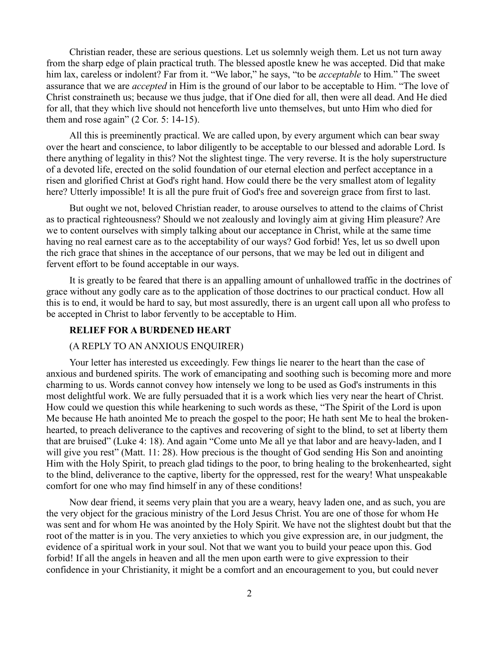Christian reader, these are serious questions. Let us solemnly weigh them. Let us not turn away from the sharp edge of plain practical truth. The blessed apostle knew he was accepted. Did that make him lax, careless or indolent? Far from it. "We labor," he says, "to be *acceptable* to Him." The sweet assurance that we are *accepted* in Him is the ground of our labor to be acceptable to Him. "The love of Christ constraineth us; because we thus judge, that if One died for all, then were all dead. And He died for all, that they which live should not henceforth live unto themselves, but unto Him who died for them and rose again"  $(2 \text{ Cor. } 5: 14-15)$ .

All this is preeminently practical. We are called upon, by every argument which can bear sway over the heart and conscience, to labor diligently to be acceptable to our blessed and adorable Lord. Is there anything of legality in this? Not the slightest tinge. The very reverse. It is the holy superstructure of a devoted life, erected on the solid foundation of our eternal election and perfect acceptance in a risen and glorified Christ at God's right hand. How could there be the very smallest atom of legality here? Utterly impossible! It is all the pure fruit of God's free and sovereign grace from first to last.

But ought we not, beloved Christian reader, to arouse ourselves to attend to the claims of Christ as to practical righteousness? Should we not zealously and lovingly aim at giving Him pleasure? Are we to content ourselves with simply talking about our acceptance in Christ, while at the same time having no real earnest care as to the acceptability of our ways? God forbid! Yes, let us so dwell upon the rich grace that shines in the acceptance of our persons, that we may be led out in diligent and fervent effort to be found acceptable in our ways.

It is greatly to be feared that there is an appalling amount of unhallowed traffic in the doctrines of grace without any godly care as to the application of those doctrines to our practical conduct. How all this is to end, it would be hard to say, but most assuredly, there is an urgent call upon all who profess to be accepted in Christ to labor fervently to be acceptable to Him.

## **RELIEF FOR A BURDENED HEART**

## (A REPLY TO AN ANXIOUS ENQUIRER)

Your letter has interested us exceedingly. Few things lie nearer to the heart than the case of anxious and burdened spirits. The work of emancipating and soothing such is becoming more and more charming to us. Words cannot convey how intensely we long to be used as God's instruments in this most delightful work. We are fully persuaded that it is a work which lies very near the heart of Christ. How could we question this while hearkening to such words as these, "The Spirit of the Lord is upon Me because He hath anointed Me to preach the gospel to the poor; He hath sent Me to heal the brokenhearted, to preach deliverance to the captives and recovering of sight to the blind, to set at liberty them that are bruised" (Luke 4: 18). And again "Come unto Me all ye that labor and are heavy-laden, and I will give you rest" (Matt. 11: 28). How precious is the thought of God sending His Son and anointing Him with the Holy Spirit, to preach glad tidings to the poor, to bring healing to the brokenhearted, sight to the blind, deliverance to the captive, liberty for the oppressed, rest for the weary! What unspeakable comfort for one who may find himself in any of these conditions!

Now dear friend, it seems very plain that you are a weary, heavy laden one, and as such, you are the very object for the gracious ministry of the Lord Jesus Christ. You are one of those for whom He was sent and for whom He was anointed by the Holy Spirit. We have not the slightest doubt but that the root of the matter is in you. The very anxieties to which you give expression are, in our judgment, the evidence of a spiritual work in your soul. Not that we want you to build your peace upon this. God forbid! If all the angels in heaven and all the men upon earth were to give expression to their confidence in your Christianity, it might be a comfort and an encouragement to you, but could never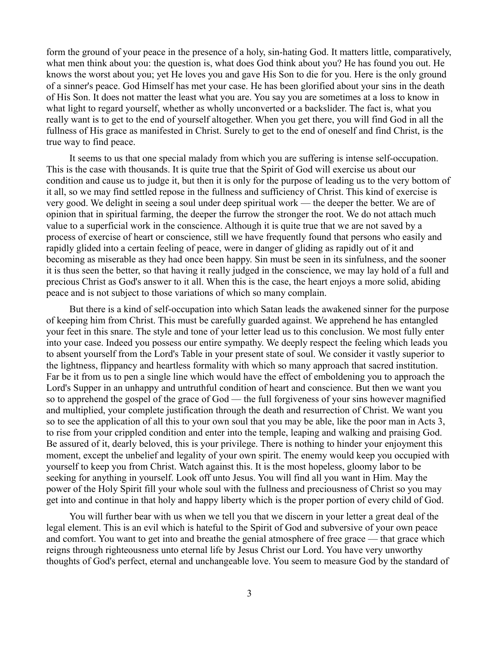form the ground of your peace in the presence of a holy, sin-hating God. It matters little, comparatively, what men think about you: the question is, what does God think about you? He has found you out. He knows the worst about you; yet He loves you and gave His Son to die for you. Here is the only ground of a sinner's peace. God Himself has met your case. He has been glorified about your sins in the death of His Son. It does not matter the least what you are. You say you are sometimes at a loss to know in what light to regard yourself, whether as wholly unconverted or a backslider. The fact is, what you really want is to get to the end of yourself altogether. When you get there, you will find God in all the fullness of His grace as manifested in Christ. Surely to get to the end of oneself and find Christ, is the true way to find peace.

It seems to us that one special malady from which you are suffering is intense self-occupation. This is the case with thousands. It is quite true that the Spirit of God will exercise us about our condition and cause us to judge it, but then it is only for the purpose of leading us to the very bottom of it all, so we may find settled repose in the fullness and sufficiency of Christ. This kind of exercise is very good. We delight in seeing a soul under deep spiritual work — the deeper the better. We are of opinion that in spiritual farming, the deeper the furrow the stronger the root. We do not attach much value to a superficial work in the conscience. Although it is quite true that we are not saved by a process of exercise of heart or conscience, still we have frequently found that persons who easily and rapidly glided into a certain feeling of peace, were in danger of gliding as rapidly out of it and becoming as miserable as they had once been happy. Sin must be seen in its sinfulness, and the sooner it is thus seen the better, so that having it really judged in the conscience, we may lay hold of a full and precious Christ as God's answer to it all. When this is the case, the heart enjoys a more solid, abiding peace and is not subject to those variations of which so many complain.

But there is a kind of self-occupation into which Satan leads the awakened sinner for the purpose of keeping him from Christ. This must be carefully guarded against. We apprehend he has entangled your feet in this snare. The style and tone of your letter lead us to this conclusion. We most fully enter into your case. Indeed you possess our entire sympathy. We deeply respect the feeling which leads you to absent yourself from the Lord's Table in your present state of soul. We consider it vastly superior to the lightness, flippancy and heartless formality with which so many approach that sacred institution. Far be it from us to pen a single line which would have the effect of emboldening you to approach the Lord's Supper in an unhappy and untruthful condition of heart and conscience. But then we want you so to apprehend the gospel of the grace of God — the full forgiveness of your sins however magnified and multiplied, your complete justification through the death and resurrection of Christ. We want you so to see the application of all this to your own soul that you may be able, like the poor man in Acts 3, to rise from your crippled condition and enter into the temple, leaping and walking and praising God. Be assured of it, dearly beloved, this is your privilege. There is nothing to hinder your enjoyment this moment, except the unbelief and legality of your own spirit. The enemy would keep you occupied with yourself to keep you from Christ. Watch against this. It is the most hopeless, gloomy labor to be seeking for anything in yourself. Look off unto Jesus. You will find all you want in Him. May the power of the Holy Spirit fill your whole soul with the fullness and preciousness of Christ so you may get into and continue in that holy and happy liberty which is the proper portion of every child of God.

You will further bear with us when we tell you that we discern in your letter a great deal of the legal element. This is an evil which is hateful to the Spirit of God and subversive of your own peace and comfort. You want to get into and breathe the genial atmosphere of free grace — that grace which reigns through righteousness unto eternal life by Jesus Christ our Lord. You have very unworthy thoughts of God's perfect, eternal and unchangeable love. You seem to measure God by the standard of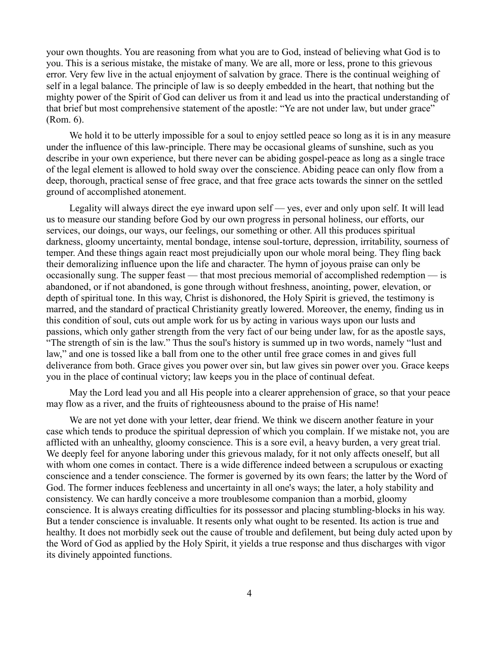your own thoughts. You are reasoning from what you are to God, instead of believing what God is to you. This is a serious mistake, the mistake of many. We are all, more or less, prone to this grievous error. Very few live in the actual enjoyment of salvation by grace. There is the continual weighing of self in a legal balance. The principle of law is so deeply embedded in the heart, that nothing but the mighty power of the Spirit of God can deliver us from it and lead us into the practical understanding of that brief but most comprehensive statement of the apostle: "Ye are not under law, but under grace" (Rom. 6).

We hold it to be utterly impossible for a soul to enjoy settled peace so long as it is in any measure under the influence of this law-principle. There may be occasional gleams of sunshine, such as you describe in your own experience, but there never can be abiding gospel-peace as long as a single trace of the legal element is allowed to hold sway over the conscience. Abiding peace can only flow from a deep, thorough, practical sense of free grace, and that free grace acts towards the sinner on the settled ground of accomplished atonement.

Legality will always direct the eye inward upon self — yes, ever and only upon self. It will lead us to measure our standing before God by our own progress in personal holiness, our efforts, our services, our doings, our ways, our feelings, our something or other. All this produces spiritual darkness, gloomy uncertainty, mental bondage, intense soul-torture, depression, irritability, sourness of temper. And these things again react most prejudicially upon our whole moral being. They fling back their demoralizing influence upon the life and character. The hymn of joyous praise can only be occasionally sung. The supper feast — that most precious memorial of accomplished redemption — is abandoned, or if not abandoned, is gone through without freshness, anointing, power, elevation, or depth of spiritual tone. In this way, Christ is dishonored, the Holy Spirit is grieved, the testimony is marred, and the standard of practical Christianity greatly lowered. Moreover, the enemy, finding us in this condition of soul, cuts out ample work for us by acting in various ways upon our lusts and passions, which only gather strength from the very fact of our being under law, for as the apostle says, "The strength of sin is the law." Thus the soul's history is summed up in two words, namely "lust and law," and one is tossed like a ball from one to the other until free grace comes in and gives full deliverance from both. Grace gives you power over sin, but law gives sin power over you. Grace keeps you in the place of continual victory; law keeps you in the place of continual defeat.

May the Lord lead you and all His people into a clearer apprehension of grace, so that your peace may flow as a river, and the fruits of righteousness abound to the praise of His name!

We are not yet done with your letter, dear friend. We think we discern another feature in your case which tends to produce the spiritual depression of which you complain. If we mistake not, you are afflicted with an unhealthy, gloomy conscience. This is a sore evil, a heavy burden, a very great trial. We deeply feel for anyone laboring under this grievous malady, for it not only affects oneself, but all with whom one comes in contact. There is a wide difference indeed between a scrupulous or exacting conscience and a tender conscience. The former is governed by its own fears; the latter by the Word of God. The former induces feebleness and uncertainty in all one's ways; the later, a holy stability and consistency. We can hardly conceive a more troublesome companion than a morbid, gloomy conscience. It is always creating difficulties for its possessor and placing stumbling-blocks in his way. But a tender conscience is invaluable. It resents only what ought to be resented. Its action is true and healthy. It does not morbidly seek out the cause of trouble and defilement, but being duly acted upon by the Word of God as applied by the Holy Spirit, it yields a true response and thus discharges with vigor its divinely appointed functions.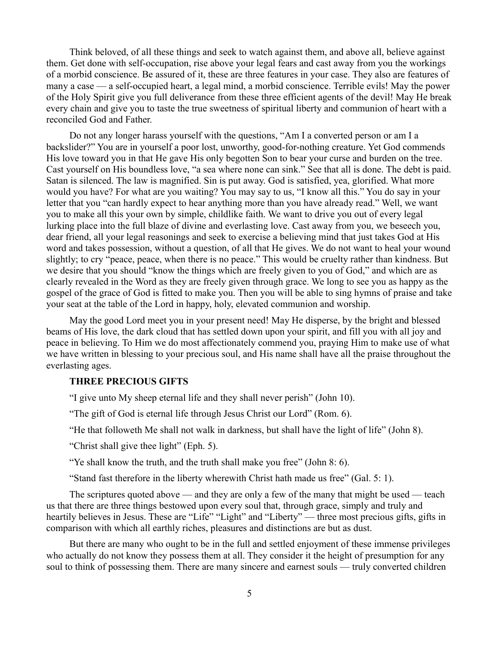Think beloved, of all these things and seek to watch against them, and above all, believe against them. Get done with self-occupation, rise above your legal fears and cast away from you the workings of a morbid conscience. Be assured of it, these are three features in your case. They also are features of many a case — a self-occupied heart, a legal mind, a morbid conscience. Terrible evils! May the power of the Holy Spirit give you full deliverance from these three efficient agents of the devil! May He break every chain and give you to taste the true sweetness of spiritual liberty and communion of heart with a reconciled God and Father.

Do not any longer harass yourself with the questions, "Am I a converted person or am I a backslider?" You are in yourself a poor lost, unworthy, good-for-nothing creature. Yet God commends His love toward you in that He gave His only begotten Son to bear your curse and burden on the tree. Cast yourself on His boundless love, "a sea where none can sink." See that all is done. The debt is paid. Satan is silenced. The law is magnified. Sin is put away. God is satisfied, yea, glorified. What more would you have? For what are you waiting? You may say to us, "I know all this." You do say in your letter that you "can hardly expect to hear anything more than you have already read." Well, we want you to make all this your own by simple, childlike faith. We want to drive you out of every legal lurking place into the full blaze of divine and everlasting love. Cast away from you, we beseech you, dear friend, all your legal reasonings and seek to exercise a believing mind that just takes God at His word and takes possession, without a question, of all that He gives. We do not want to heal your wound slightly; to cry "peace, peace, when there is no peace." This would be cruelty rather than kindness. But we desire that you should "know the things which are freely given to you of God," and which are as clearly revealed in the Word as they are freely given through grace. We long to see you as happy as the gospel of the grace of God is fitted to make you. Then you will be able to sing hymns of praise and take your seat at the table of the Lord in happy, holy, elevated communion and worship.

May the good Lord meet you in your present need! May He disperse, by the bright and blessed beams of His love, the dark cloud that has settled down upon your spirit, and fill you with all joy and peace in believing. To Him we do most affectionately commend you, praying Him to make use of what we have written in blessing to your precious soul, and His name shall have all the praise throughout the everlasting ages.

## **THREE PRECIOUS GIFTS**

"I give unto My sheep eternal life and they shall never perish" (John 10).

"The gift of God is eternal life through Jesus Christ our Lord" (Rom. 6).

"He that followeth Me shall not walk in darkness, but shall have the light of life" (John 8).

"Christ shall give thee light" (Eph. 5).

"Ye shall know the truth, and the truth shall make you free" (John 8: 6).

"Stand fast therefore in the liberty wherewith Christ hath made us free" (Gal. 5: 1).

The scriptures quoted above — and they are only a few of the many that might be used — teach us that there are three things bestowed upon every soul that, through grace, simply and truly and heartily believes in Jesus. These are "Life" "Light" and "Liberty" — three most precious gifts, gifts in comparison with which all earthly riches, pleasures and distinctions are but as dust.

But there are many who ought to be in the full and settled enjoyment of these immense privileges who actually do not know they possess them at all. They consider it the height of presumption for any soul to think of possessing them. There are many sincere and earnest souls — truly converted children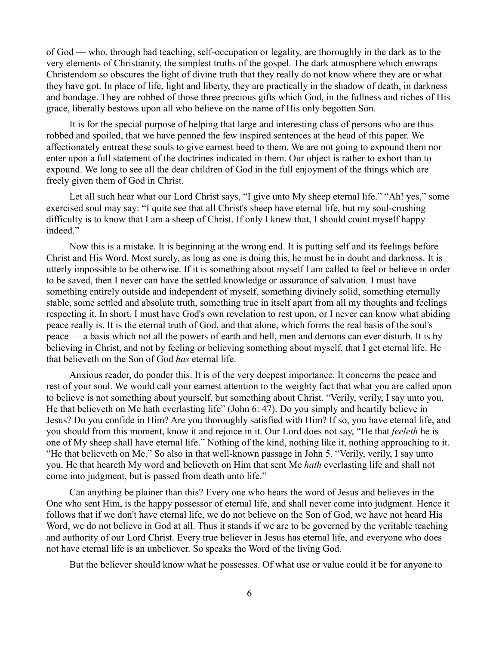of God — who, through bad teaching, self-occupation or legality, are thoroughly in the dark as to the very elements of Christianity, the simplest truths of the gospel. The dark atmosphere which enwraps Christendom so obscures the light of divine truth that they really do not know where they are or what they have got. In place of life, light and liberty, they are practically in the shadow of death, in darkness and bondage. They are robbed of those three precious gifts which God, in the fullness and riches of His grace, liberally bestows upon all who believe on the name of His only begotten Son.

It is for the special purpose of helping that large and interesting class of persons who are thus robbed and spoiled, that we have penned the few inspired sentences at the head of this paper. We affectionately entreat these souls to give earnest heed to them. We are not going to expound them nor enter upon a full statement of the doctrines indicated in them. Our object is rather to exhort than to expound. We long to see all the dear children of God in the full enjoyment of the things which are freely given them of God in Christ.

Let all such hear what our Lord Christ says, "I give unto My sheep eternal life." "Ah! yes," some exercised soul may say: "I quite see that all Christ's sheep have eternal life, but my soul-crushing difficulty is to know that I am a sheep of Christ. If only I knew that, I should count myself happy indeed."

Now this is a mistake. It is beginning at the wrong end. It is putting self and its feelings before Christ and His Word. Most surely, as long as one is doing this, he must be in doubt and darkness. It is utterly impossible to be otherwise. If it is something about myself l am called to feel or believe in order to be saved, then I never can have the settled knowledge or assurance of salvation. I must have something entirely outside and independent of myself, something divinely solid, something eternally stable, some settled and absolute truth, something true in itself apart from all my thoughts and feelings respecting it. In short, I must have God's own revelation to rest upon, or I never can know what abiding peace really is. It is the eternal truth of God, and that alone, which forms the real basis of the soul's peace — a basis which not all the powers of earth and hell, men and demons can ever disturb. It is by believing in Christ, and not by feeling or believing something about myself, that I get eternal life. He that believeth on the Son of God *has* eternal life.

Anxious reader, do ponder this. It is of the very deepest importance. It concerns the peace and rest of your soul. We would call your earnest attention to the weighty fact that what you are called upon to believe is not something about yourself, but something about Christ. "Verily, verily, I say unto you, He that believeth on Me hath everlasting life" (John 6: 47). Do you simply and heartily believe in Jesus? Do you confide in Him? Are you thoroughly satisfied with Him? If so, you have eternal life, and you should from this moment, know it and rejoice in it. Our Lord does not say, "He that *feeleth* he is one of My sheep shall have eternal life." Nothing of the kind, nothing like it, nothing approaching to it. "He that believeth on Me." So also in that well-known passage in John 5. "Verily, verily, I say unto you. He that heareth My word and believeth on Him that sent Me *hath* everlasting life and shall not come into judgment, but is passed from death unto life."

Can anything be plainer than this? Every one who hears the word of Jesus and believes in the One who sent Him, is the happy possessor of eternal life, and shall never come into judgment. Hence it follows that if we don't have eternal life, we do not believe on the Son of God, we have not heard His Word, we do not believe in God at all. Thus it stands if we are to be governed by the veritable teaching and authority of our Lord Christ. Every true believer in Jesus has eternal life, and everyone who does not have eternal life is an unbeliever. So speaks the Word of the living God.

But the believer should know what he possesses. Of what use or value could it be for anyone to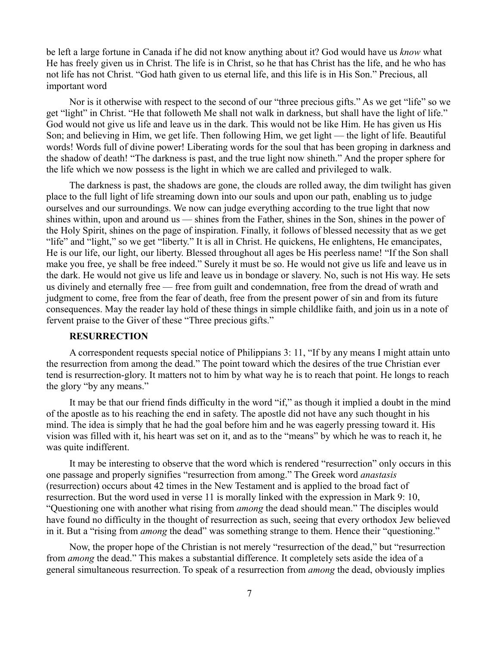be left a large fortune in Canada if he did not know anything about it? God would have us *know* what He has freely given us in Christ. The life is in Christ, so he that has Christ has the life, and he who has not life has not Christ. "God hath given to us eternal life, and this life is in His Son." Precious, all important word

Nor is it otherwise with respect to the second of our "three precious gifts." As we get "life" so we get "light" in Christ. "He that followeth Me shall not walk in darkness, but shall have the light of life." God would not give us life and leave us in the dark. This would not be like Him. He has given us His Son; and believing in Him, we get life. Then following Him, we get light — the light of life. Beautiful words! Words full of divine power! Liberating words for the soul that has been groping in darkness and the shadow of death! "The darkness is past, and the true light now shineth." And the proper sphere for the life which we now possess is the light in which we are called and privileged to walk.

The darkness is past, the shadows are gone, the clouds are rolled away, the dim twilight has given place to the full light of life streaming down into our souls and upon our path, enabling us to judge ourselves and our surroundings. We now can judge everything according to the true light that now shines within, upon and around us — shines from the Father, shines in the Son, shines in the power of the Holy Spirit, shines on the page of inspiration. Finally, it follows of blessed necessity that as we get "life" and "light," so we get "liberty." It is all in Christ. He quickens, He enlightens, He emancipates, He is our life, our light, our liberty. Blessed throughout all ages be His peerless name! "If the Son shall make you free, ye shall be free indeed." Surely it must be so. He would not give us life and leave us in the dark. He would not give us life and leave us in bondage or slavery. No, such is not His way. He sets us divinely and eternally free — free from guilt and condemnation, free from the dread of wrath and judgment to come, free from the fear of death, free from the present power of sin and from its future consequences. May the reader lay hold of these things in simple childlike faith, and join us in a note of fervent praise to the Giver of these "Three precious gifts."

# **RESURRECTION**

A correspondent requests special notice of Philippians 3: 11, "If by any means I might attain unto the resurrection from among the dead." The point toward which the desires of the true Christian ever tend is resurrection-glory. It matters not to him by what way he is to reach that point. He longs to reach the glory "by any means."

It may be that our friend finds difficulty in the word "if," as though it implied a doubt in the mind of the apostle as to his reaching the end in safety. The apostle did not have any such thought in his mind. The idea is simply that he had the goal before him and he was eagerly pressing toward it. His vision was filled with it, his heart was set on it, and as to the "means" by which he was to reach it, he was quite indifferent.

It may be interesting to observe that the word which is rendered "resurrection" only occurs in this one passage and properly signifies "resurrection from among." The Greek word *anastasis* (resurrection) occurs about 42 times in the New Testament and is applied to the broad fact of resurrection. But the word used in verse 11 is morally linked with the expression in Mark 9: 10, "Questioning one with another what rising from *among* the dead should mean." The disciples would have found no difficulty in the thought of resurrection as such, seeing that every orthodox Jew believed in it. But a "rising from *among* the dead" was something strange to them. Hence their "questioning."

Now, the proper hope of the Christian is not merely "resurrection of the dead," but "resurrection from *among* the dead." This makes a substantial difference. It completely sets aside the idea of a general simultaneous resurrection. To speak of a resurrection from *among* the dead, obviously implies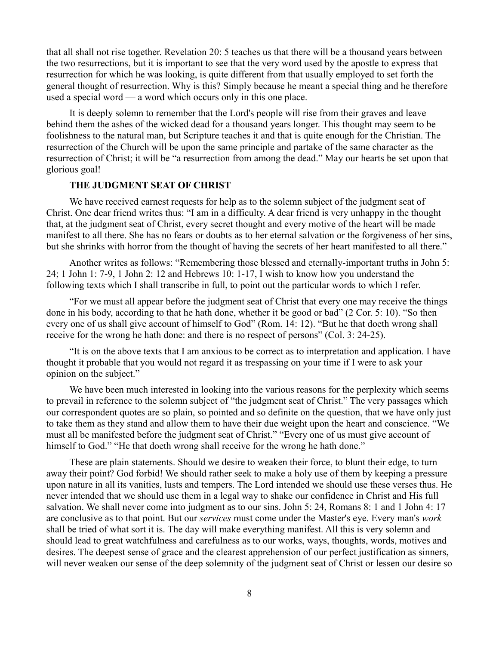that all shall not rise together. Revelation 20: 5 teaches us that there will be a thousand years between the two resurrections, but it is important to see that the very word used by the apostle to express that resurrection for which he was looking, is quite different from that usually employed to set forth the general thought of resurrection. Why is this? Simply because he meant a special thing and he therefore used a special word — a word which occurs only in this one place.

It is deeply solemn to remember that the Lord's people will rise from their graves and leave behind them the ashes of the wicked dead for a thousand years longer. This thought may seem to be foolishness to the natural man, but Scripture teaches it and that is quite enough for the Christian. The resurrection of the Church will be upon the same principle and partake of the same character as the resurrection of Christ; it will be "a resurrection from among the dead." May our hearts be set upon that glorious goal!

# **THE JUDGMENT SEAT OF CHRIST**

We have received earnest requests for help as to the solemn subject of the judgment seat of Christ. One dear friend writes thus: "I am in a difficulty. A dear friend is very unhappy in the thought that, at the judgment seat of Christ, every secret thought and every motive of the heart will be made manifest to all there. She has no fears or doubts as to her eternal salvation or the forgiveness of her sins, but she shrinks with horror from the thought of having the secrets of her heart manifested to all there."

Another writes as follows: "Remembering those blessed and eternally-important truths in John 5: 24; 1 John 1: 7-9, 1 John 2: 12 and Hebrews 10: 1-17, I wish to know how you understand the following texts which I shall transcribe in full, to point out the particular words to which I refer.

"For we must all appear before the judgment seat of Christ that every one may receive the things done in his body, according to that he hath done, whether it be good or bad" (2 Cor. 5: 10). "So then every one of us shall give account of himself to God" (Rom. 14: 12). "But he that doeth wrong shall receive for the wrong he hath done: and there is no respect of persons" (Col. 3: 24-25).

"It is on the above texts that I am anxious to be correct as to interpretation and application. I have thought it probable that you would not regard it as trespassing on your time if I were to ask your opinion on the subject."

We have been much interested in looking into the various reasons for the perplexity which seems to prevail in reference to the solemn subject of "the judgment seat of Christ." The very passages which our correspondent quotes are so plain, so pointed and so definite on the question, that we have only just to take them as they stand and allow them to have their due weight upon the heart and conscience. "We must all be manifested before the judgment seat of Christ." "Every one of us must give account of himself to God." "He that doeth wrong shall receive for the wrong he hath done."

These are plain statements. Should we desire to weaken their force, to blunt their edge, to turn away their point? God forbid! We should rather seek to make a holy use of them by keeping a pressure upon nature in all its vanities, lusts and tempers. The Lord intended we should use these verses thus. He never intended that we should use them in a legal way to shake our confidence in Christ and His full salvation. We shall never come into judgment as to our sins. John 5: 24, Romans 8: 1 and 1 John 4: 17 are conclusive as to that point. But our *services* must come under the Master's eye. Every man's *work* shall be tried of what sort it is. The day will make everything manifest. All this is very solemn and should lead to great watchfulness and carefulness as to our works, ways, thoughts, words, motives and desires. The deepest sense of grace and the clearest apprehension of our perfect justification as sinners, will never weaken our sense of the deep solemnity of the judgment seat of Christ or lessen our desire so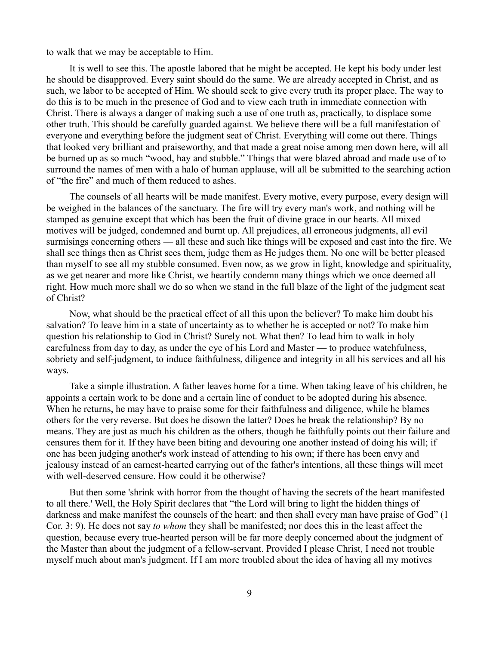to walk that we may be acceptable to Him.

It is well to see this. The apostle labored that he might be accepted. He kept his body under lest he should be disapproved. Every saint should do the same. We are already accepted in Christ, and as such, we labor to be accepted of Him. We should seek to give every truth its proper place. The way to do this is to be much in the presence of God and to view each truth in immediate connection with Christ. There is always a danger of making such a use of one truth as, practically, to displace some other truth. This should be carefully guarded against. We believe there will be a full manifestation of everyone and everything before the judgment seat of Christ. Everything will come out there. Things that looked very brilliant and praiseworthy, and that made a great noise among men down here, will all be burned up as so much "wood, hay and stubble." Things that were blazed abroad and made use of to surround the names of men with a halo of human applause, will all be submitted to the searching action of "the fire" and much of them reduced to ashes.

The counsels of all hearts will be made manifest. Every motive, every purpose, every design will be weighed in the balances of the sanctuary. The fire will try every man's work, and nothing will be stamped as genuine except that which has been the fruit of divine grace in our hearts. All mixed motives will be judged, condemned and burnt up. All prejudices, all erroneous judgments, all evil surmisings concerning others — all these and such like things will be exposed and cast into the fire. We shall see things then as Christ sees them, judge them as He judges them. No one will be better pleased than myself to see all my stubble consumed. Even now, as we grow in light, knowledge and spirituality, as we get nearer and more like Christ, we heartily condemn many things which we once deemed all right. How much more shall we do so when we stand in the full blaze of the light of the judgment seat of Christ?

Now, what should be the practical effect of all this upon the believer? To make him doubt his salvation? To leave him in a state of uncertainty as to whether he is accepted or not? To make him question his relationship to God in Christ? Surely not. What then? To lead him to walk in holy carefulness from day to day, as under the eye of his Lord and Master — to produce watchfulness, sobriety and self-judgment, to induce faithfulness, diligence and integrity in all his services and all his ways.

Take a simple illustration. A father leaves home for a time. When taking leave of his children, he appoints a certain work to be done and a certain line of conduct to be adopted during his absence. When he returns, he may have to praise some for their faithfulness and diligence, while he blames others for the very reverse. But does he disown the latter? Does he break the relationship? By no means. They are just as much his children as the others, though he faithfully points out their failure and censures them for it. If they have been biting and devouring one another instead of doing his will; if one has been judging another's work instead of attending to his own; if there has been envy and jealousy instead of an earnest-hearted carrying out of the father's intentions, all these things will meet with well-deserved censure. How could it be otherwise?

But then some 'shrink with horror from the thought of having the secrets of the heart manifested to all there.' Well, the Holy Spirit declares that "the Lord will bring to light the hidden things of darkness and make manifest the counsels of the heart: and then shall every man have praise of God" (1 Cor. 3: 9). He does not say *to whom* they shall be manifested; nor does this in the least affect the question, because every true-hearted person will be far more deeply concerned about the judgment of the Master than about the judgment of a fellow-servant. Provided I please Christ, I need not trouble myself much about man's judgment. If I am more troubled about the idea of having all my motives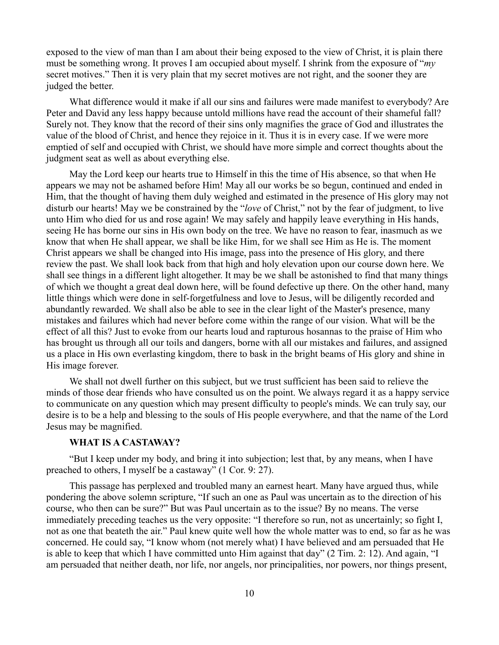exposed to the view of man than I am about their being exposed to the view of Christ, it is plain there must be something wrong. It proves I am occupied about myself. I shrink from the exposure of "*my* secret motives." Then it is very plain that my secret motives are not right, and the sooner they are judged the better.

What difference would it make if all our sins and failures were made manifest to everybody? Are Peter and David any less happy because untold millions have read the account of their shameful fall? Surely not. They know that the record of their sins only magnifies the grace of God and illustrates the value of the blood of Christ, and hence they rejoice in it. Thus it is in every case. If we were more emptied of self and occupied with Christ, we should have more simple and correct thoughts about the judgment seat as well as about everything else.

May the Lord keep our hearts true to Himself in this the time of His absence, so that when He appears we may not be ashamed before Him! May all our works be so begun, continued and ended in Him, that the thought of having them duly weighed and estimated in the presence of His glory may not disturb our hearts! May we be constrained by the "*love* of Christ," not by the fear of judgment, to live unto Him who died for us and rose again! We may safely and happily leave everything in His hands, seeing He has borne our sins in His own body on the tree. We have no reason to fear, inasmuch as we know that when He shall appear, we shall be like Him, for we shall see Him as He is. The moment Christ appears we shall be changed into His image, pass into the presence of His glory, and there review the past. We shall look back from that high and holy elevation upon our course down here. We shall see things in a different light altogether. It may be we shall be astonished to find that many things of which we thought a great deal down here, will be found defective up there. On the other hand, many little things which were done in self-forgetfulness and love to Jesus, will be diligently recorded and abundantly rewarded. We shall also be able to see in the clear light of the Master's presence, many mistakes and failures which had never before come within the range of our vision. What will be the effect of all this? Just to evoke from our hearts loud and rapturous hosannas to the praise of Him who has brought us through all our toils and dangers, borne with all our mistakes and failures, and assigned us a place in His own everlasting kingdom, there to bask in the bright beams of His glory and shine in His image forever.

We shall not dwell further on this subject, but we trust sufficient has been said to relieve the minds of those dear friends who have consulted us on the point. We always regard it as a happy service to communicate on any question which may present difficulty to people's minds. We can truly say, our desire is to be a help and blessing to the souls of His people everywhere, and that the name of the Lord Jesus may be magnified.

## **WHAT IS A CASTAWAY?**

"But I keep under my body, and bring it into subjection; lest that, by any means, when I have preached to others, I myself be a castaway" (1 Cor. 9: 27).

This passage has perplexed and troubled many an earnest heart. Many have argued thus, while pondering the above solemn scripture, "If such an one as Paul was uncertain as to the direction of his course, who then can be sure?" But was Paul uncertain as to the issue? By no means. The verse immediately preceding teaches us the very opposite: "I therefore so run, not as uncertainly; so fight I, not as one that beateth the air." Paul knew quite well how the whole matter was to end, so far as he was concerned. He could say, "I know whom (not merely what) I have believed and am persuaded that He is able to keep that which I have committed unto Him against that day" (2 Tim. 2: 12). And again, "I am persuaded that neither death, nor life, nor angels, nor principalities, nor powers, nor things present,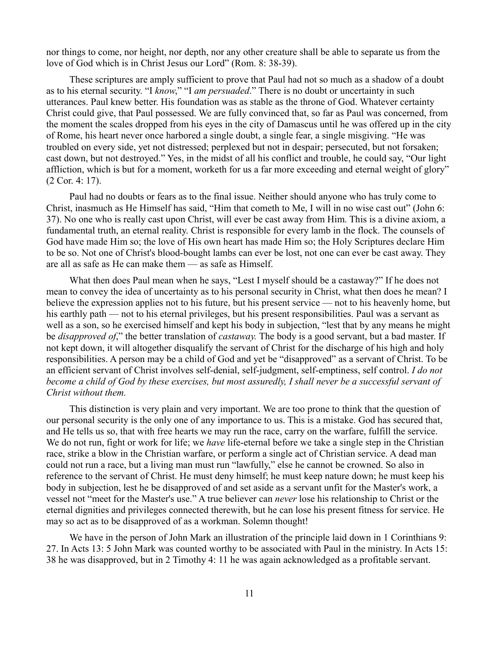nor things to come, nor height, nor depth, nor any other creature shall be able to separate us from the love of God which is in Christ Jesus our Lord" (Rom. 8: 38-39).

These scriptures are amply sufficient to prove that Paul had not so much as a shadow of a doubt as to his eternal security. "I *know*," "I *am persuaded*." There is no doubt or uncertainty in such utterances. Paul knew better. His foundation was as stable as the throne of God. Whatever certainty Christ could give, that Paul possessed. We are fully convinced that, so far as Paul was concerned, from the moment the scales dropped from his eyes in the city of Damascus until he was offered up in the city of Rome, his heart never once harbored a single doubt, a single fear, a single misgiving. "He was troubled on every side, yet not distressed; perplexed but not in despair; persecuted, but not forsaken; cast down, but not destroyed." Yes, in the midst of all his conflict and trouble, he could say, "Our light affliction, which is but for a moment, worketh for us a far more exceeding and eternal weight of glory" (2 Cor. 4: 17).

Paul had no doubts or fears as to the final issue. Neither should anyone who has truly come to Christ, inasmuch as He Himself has said, "Him that cometh to Me, I will in no wise cast out" (John 6: 37). No one who is really cast upon Christ, will ever be cast away from Him. This is a divine axiom, a fundamental truth, an eternal reality. Christ is responsible for every lamb in the flock. The counsels of God have made Him so; the love of His own heart has made Him so; the Holy Scriptures declare Him to be so. Not one of Christ's blood-bought lambs can ever be lost, not one can ever be cast away. They are all as safe as He can make them — as safe as Himself.

What then does Paul mean when he says, "Lest I myself should be a castaway?" If he does not mean to convey the idea of uncertainty as to his personal security in Christ, what then does he mean? I believe the expression applies not to his future, but his present service — not to his heavenly home, but his earthly path — not to his eternal privileges, but his present responsibilities. Paul was a servant as well as a son, so he exercised himself and kept his body in subjection, "lest that by any means he might be *disapproved of*," the better translation of *castaway.* The body is a good servant, but a bad master. If not kept down, it will altogether disqualify the servant of Christ for the discharge of his high and holy responsibilities. A person may be a child of God and yet be "disapproved" as a servant of Christ. To be an efficient servant of Christ involves self-denial, self-judgment, self-emptiness, self control. *I do not become a child of God by these exercises, but most assuredly, I shall never be a successful servant of Christ without them.*

This distinction is very plain and very important. We are too prone to think that the question of our personal security is the only one of any importance to us. This is a mistake. God has secured that, and He tells us so, that with free hearts we may run the race, carry on the warfare, fulfill the service. We do not run, fight or work for life; we *have* life-eternal before we take a single step in the Christian race, strike a blow in the Christian warfare, or perform a single act of Christian service. A dead man could not run a race, but a living man must run "lawfully," else he cannot be crowned. So also in reference to the servant of Christ. He must deny himself; he must keep nature down; he must keep his body in subjection, lest he be disapproved of and set aside as a servant unfit for the Master's work, a vessel not "meet for the Master's use." A true believer can *never* lose his relationship to Christ or the eternal dignities and privileges connected therewith, but he can lose his present fitness for service. He may so act as to be disapproved of as a workman. Solemn thought!

We have in the person of John Mark an illustration of the principle laid down in 1 Corinthians 9: 27. In Acts 13: 5 John Mark was counted worthy to be associated with Paul in the ministry. In Acts 15: 38 he was disapproved, but in 2 Timothy 4: 11 he was again acknowledged as a profitable servant.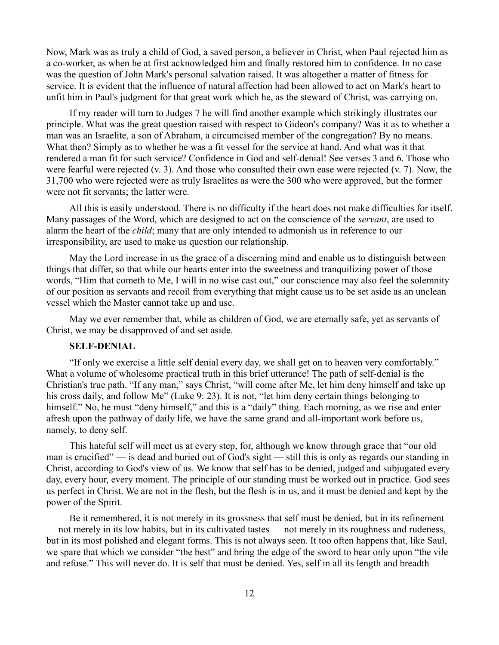Now, Mark was as truly a child of God, a saved person, a believer in Christ, when Paul rejected him as a co-worker, as when he at first acknowledged him and finally restored him to confidence. In no case was the question of John Mark's personal salvation raised. It was altogether a matter of fitness for service. It is evident that the influence of natural affection had been allowed to act on Mark's heart to unfit him in Paul's judgment for that great work which he, as the steward of Christ, was carrying on.

If my reader will turn to Judges 7 he will find another example which strikingly illustrates our principle. What was the great question raised with respect to Gideon's company? Was it as to whether a man was an Israelite, a son of Abraham, a circumcised member of the congregation? By no means. What then? Simply as to whether he was a fit vessel for the service at hand. And what was it that rendered a man fit for such service? Confidence in God and self-denial! See verses 3 and 6. Those who were fearful were rejected (v. 3). And those who consulted their own ease were rejected (v. 7). Now, the 31,700 who were rejected were as truly Israelites as were the 300 who were approved, but the former were not fit servants; the latter were.

All this is easily understood. There is no difficulty if the heart does not make difficulties for itself. Many passages of the Word, which are designed to act on the conscience of the *servant*, are used to alarm the heart of the *child*; many that are only intended to admonish us in reference to our irresponsibility, are used to make us question our relationship.

May the Lord increase in us the grace of a discerning mind and enable us to distinguish between things that differ, so that while our hearts enter into the sweetness and tranquilizing power of those words, "Him that cometh to Me, I will in no wise cast out," our conscience may also feel the solemnity of our position as servants and recoil from everything that might cause us to be set aside as an unclean vessel which the Master cannot take up and use.

May we ever remember that, while as children of God, we are eternally safe, yet as servants of Christ, we may be disapproved of and set aside.

## **SELF-DENIAL**

"If only we exercise a little self denial every day, we shall get on to heaven very comfortably." What a volume of wholesome practical truth in this brief utterance! The path of self-denial is the Christian's true path. "If any man," says Christ, "will come after Me, let him deny himself and take up his cross daily, and follow Me" (Luke 9: 23). It is not, "let him deny certain things belonging to himself." No, he must "deny himself," and this is a "daily" thing. Each morning, as we rise and enter afresh upon the pathway of daily life, we have the same grand and all-important work before us, namely, to deny self.

This hateful self will meet us at every step, for, although we know through grace that "our old man is crucified" — is dead and buried out of God's sight — still this is only as regards our standing in Christ, according to God's view of us. We know that self has to be denied, judged and subjugated every day, every hour, every moment. The principle of our standing must be worked out in practice. God sees us perfect in Christ. We are not in the flesh, but the flesh is in us, and it must be denied and kept by the power of the Spirit.

Be it remembered, it is not merely in its grossness that self must be denied, but in its refinement — not merely in its low habits, but in its cultivated tastes — not merely in its roughness and rudeness, but in its most polished and elegant forms. This is not always seen. It too often happens that, like Saul, we spare that which we consider "the best" and bring the edge of the sword to bear only upon "the vile and refuse." This will never do. It is self that must be denied. Yes, self in all its length and breadth —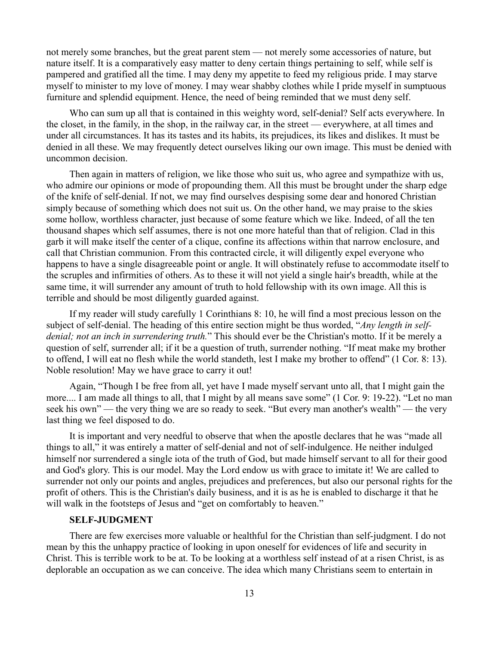not merely some branches, but the great parent stem — not merely some accessories of nature, but nature itself. It is a comparatively easy matter to deny certain things pertaining to self, while self is pampered and gratified all the time. I may deny my appetite to feed my religious pride. I may starve myself to minister to my love of money. I may wear shabby clothes while I pride myself in sumptuous furniture and splendid equipment. Hence, the need of being reminded that we must deny self.

Who can sum up all that is contained in this weighty word, self-denial? Self acts everywhere. In the closet, in the family, in the shop, in the railway car, in the street — everywhere, at all times and under all circumstances. It has its tastes and its habits, its prejudices, its likes and dislikes. It must be denied in all these. We may frequently detect ourselves liking our own image. This must be denied with uncommon decision.

Then again in matters of religion, we like those who suit us, who agree and sympathize with us, who admire our opinions or mode of propounding them. All this must be brought under the sharp edge of the knife of self-denial. If not, we may find ourselves despising some dear and honored Christian simply because of something which does not suit us. On the other hand, we may praise to the skies some hollow, worthless character, just because of some feature which we like. Indeed, of all the ten thousand shapes which self assumes, there is not one more hateful than that of religion. Clad in this garb it will make itself the center of a clique, confine its affections within that narrow enclosure, and call that Christian communion. From this contracted circle, it will diligently expel everyone who happens to have a single disagreeable point or angle. It will obstinately refuse to accommodate itself to the scruples and infirmities of others. As to these it will not yield a single hair's breadth, while at the same time, it will surrender any amount of truth to hold fellowship with its own image. All this is terrible and should be most diligently guarded against.

If my reader will study carefully 1 Corinthians 8: 10, he will find a most precious lesson on the subject of self-denial. The heading of this entire section might be thus worded, "*Any length in selfdenial; not an inch in surrendering truth.*" This should ever be the Christian's motto. If it be merely a question of self, surrender all; if it be a question of truth, surrender nothing. "If meat make my brother to offend, I will eat no flesh while the world standeth, lest I make my brother to offend" (1 Cor. 8: 13). Noble resolution! May we have grace to carry it out!

Again, "Though I be free from all, yet have I made myself servant unto all, that I might gain the more.... I am made all things to all, that I might by all means save some" (1 Cor. 9: 19-22). "Let no man seek his own" — the very thing we are so ready to seek. "But every man another's wealth" — the very last thing we feel disposed to do.

It is important and very needful to observe that when the apostle declares that he was "made all things to all," it was entirely a matter of self-denial and not of self-indulgence. He neither indulged himself nor surrendered a single iota of the truth of God, but made himself servant to all for their good and God's glory. This is our model. May the Lord endow us with grace to imitate it! We are called to surrender not only our points and angles, prejudices and preferences, but also our personal rights for the profit of others. This is the Christian's daily business, and it is as he is enabled to discharge it that he will walk in the footsteps of Jesus and "get on comfortably to heaven."

## **SELF-JUDGMENT**

There are few exercises more valuable or healthful for the Christian than self-judgment. I do not mean by this the unhappy practice of looking in upon oneself for evidences of life and security in Christ. This is terrible work to be at. To be looking at a worthless self instead of at a risen Christ, is as deplorable an occupation as we can conceive. The idea which many Christians seem to entertain in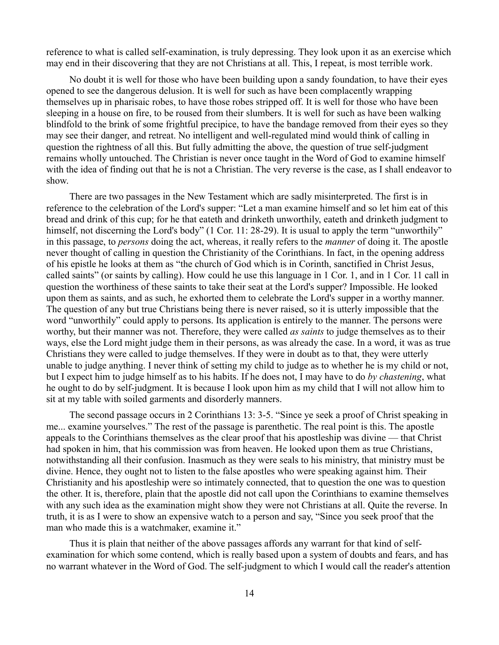reference to what is called self-examination, is truly depressing. They look upon it as an exercise which may end in their discovering that they are not Christians at all. This, I repeat, is most terrible work.

No doubt it is well for those who have been building upon a sandy foundation, to have their eyes opened to see the dangerous delusion. It is well for such as have been complacently wrapping themselves up in pharisaic robes, to have those robes stripped off. It is well for those who have been sleeping in a house on fire, to be roused from their slumbers. It is well for such as have been walking blindfold to the brink of some frightful precipice, to have the bandage removed from their eyes so they may see their danger, and retreat. No intelligent and well-regulated mind would think of calling in question the rightness of all this. But fully admitting the above, the question of true self-judgment remains wholly untouched. The Christian is never once taught in the Word of God to examine himself with the idea of finding out that he is not a Christian. The very reverse is the case, as I shall endeavor to show.

There are two passages in the New Testament which are sadly misinterpreted. The first is in reference to the celebration of the Lord's supper: "Let a man examine himself and so let him eat of this bread and drink of this cup; for he that eateth and drinketh unworthily, eateth and drinketh judgment to himself, not discerning the Lord's body" (1 Cor. 11: 28-29). It is usual to apply the term "unworthily" in this passage, to *persons* doing the act, whereas, it really refers to the *manner* of doing it. The apostle never thought of calling in question the Christianity of the Corinthians. In fact, in the opening address of his epistle he looks at them as "the church of God which is in Corinth, sanctified in Christ Jesus, called saints" (or saints by calling). How could he use this language in 1 Cor. 1, and in 1 Cor. 11 call in question the worthiness of these saints to take their seat at the Lord's supper? Impossible. He looked upon them as saints, and as such, he exhorted them to celebrate the Lord's supper in a worthy manner. The question of any but true Christians being there is never raised, so it is utterly impossible that the word "unworthily" could apply to persons. Its application is entirely to the manner. The persons were worthy, but their manner was not. Therefore, they were called *as saints* to judge themselves as to their ways, else the Lord might judge them in their persons, as was already the case. In a word, it was as true Christians they were called to judge themselves. If they were in doubt as to that, they were utterly unable to judge anything. I never think of setting my child to judge as to whether he is my child or not, but I expect him to judge himself as to his habits. If he does not, I may have to do *by chastening*, what he ought to do by self-judgment. It is because I look upon him as my child that I will not allow him to sit at my table with soiled garments and disorderly manners.

The second passage occurs in 2 Corinthians 13: 3-5. "Since ye seek a proof of Christ speaking in me... examine yourselves." The rest of the passage is parenthetic. The real point is this. The apostle appeals to the Corinthians themselves as the clear proof that his apostleship was divine — that Christ had spoken in him, that his commission was from heaven. He looked upon them as true Christians, notwithstanding all their confusion. Inasmuch as they were seals to his ministry, that ministry must be divine. Hence, they ought not to listen to the false apostles who were speaking against him. Their Christianity and his apostleship were so intimately connected, that to question the one was to question the other. It is, therefore, plain that the apostle did not call upon the Corinthians to examine themselves with any such idea as the examination might show they were not Christians at all. Quite the reverse. In truth, it is as I were to show an expensive watch to a person and say, "Since you seek proof that the man who made this is a watchmaker, examine it."

Thus it is plain that neither of the above passages affords any warrant for that kind of selfexamination for which some contend, which is really based upon a system of doubts and fears, and has no warrant whatever in the Word of God. The self-judgment to which I would call the reader's attention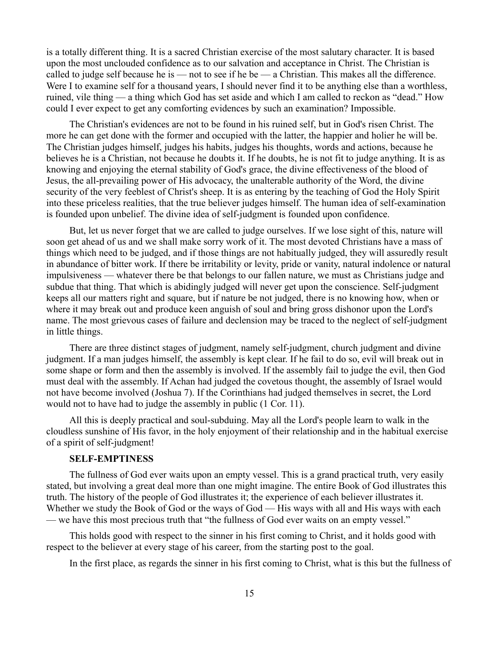is a totally different thing. It is a sacred Christian exercise of the most salutary character. It is based upon the most unclouded confidence as to our salvation and acceptance in Christ. The Christian is called to judge self because he is — not to see if he be — a Christian. This makes all the difference. Were I to examine self for a thousand years, I should never find it to be anything else than a worthless, ruined, vile thing — a thing which God has set aside and which I am called to reckon as "dead." How could I ever expect to get any comforting evidences by such an examination? Impossible.

The Christian's evidences are not to be found in his ruined self, but in God's risen Christ. The more he can get done with the former and occupied with the latter, the happier and holier he will be. The Christian judges himself, judges his habits, judges his thoughts, words and actions, because he believes he is a Christian, not because he doubts it. If he doubts, he is not fit to judge anything. It is as knowing and enjoying the eternal stability of God's grace, the divine effectiveness of the blood of Jesus, the all-prevailing power of His advocacy, the unalterable authority of the Word, the divine security of the very feeblest of Christ's sheep. It is as entering by the teaching of God the Holy Spirit into these priceless realities, that the true believer judges himself. The human idea of self-examination is founded upon unbelief. The divine idea of self-judgment is founded upon confidence.

But, let us never forget that we are called to judge ourselves. If we lose sight of this, nature will soon get ahead of us and we shall make sorry work of it. The most devoted Christians have a mass of things which need to be judged, and if those things are not habitually judged, they will assuredly result in abundance of bitter work. If there be irritability or levity, pride or vanity, natural indolence or natural impulsiveness — whatever there be that belongs to our fallen nature, we must as Christians judge and subdue that thing. That which is abidingly judged will never get upon the conscience. Self-judgment keeps all our matters right and square, but if nature be not judged, there is no knowing how, when or where it may break out and produce keen anguish of soul and bring gross dishonor upon the Lord's name. The most grievous cases of failure and declension may be traced to the neglect of self-judgment in little things.

There are three distinct stages of judgment, namely self-judgment, church judgment and divine judgment. If a man judges himself, the assembly is kept clear. If he fail to do so, evil will break out in some shape or form and then the assembly is involved. If the assembly fail to judge the evil, then God must deal with the assembly. If Achan had judged the covetous thought, the assembly of Israel would not have become involved (Joshua 7). If the Corinthians had judged themselves in secret, the Lord would not to have had to judge the assembly in public (1 Cor. 11).

All this is deeply practical and soul-subduing. May all the Lord's people learn to walk in the cloudless sunshine of His favor, in the holy enjoyment of their relationship and in the habitual exercise of a spirit of self-judgment!

# **SELF-EMPTINESS**

The fullness of God ever waits upon an empty vessel. This is a grand practical truth, very easily stated, but involving a great deal more than one might imagine. The entire Book of God illustrates this truth. The history of the people of God illustrates it; the experience of each believer illustrates it. Whether we study the Book of God or the ways of God — His ways with all and His ways with each — we have this most precious truth that "the fullness of God ever waits on an empty vessel."

This holds good with respect to the sinner in his first coming to Christ, and it holds good with respect to the believer at every stage of his career, from the starting post to the goal.

In the first place, as regards the sinner in his first coming to Christ, what is this but the fullness of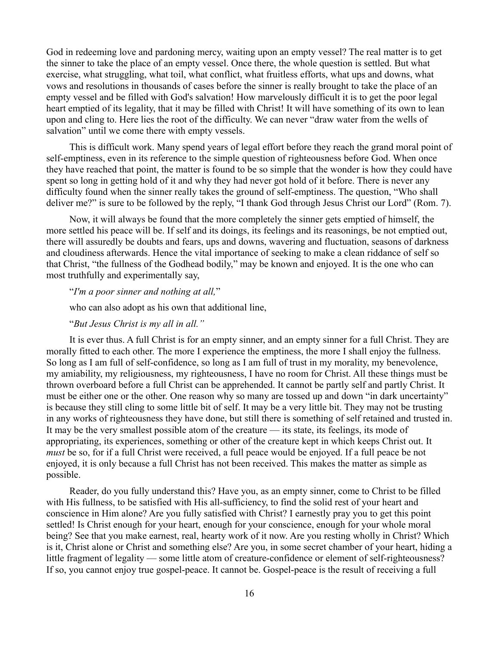God in redeeming love and pardoning mercy, waiting upon an empty vessel? The real matter is to get the sinner to take the place of an empty vessel. Once there, the whole question is settled. But what exercise, what struggling, what toil, what conflict, what fruitless efforts, what ups and downs, what vows and resolutions in thousands of cases before the sinner is really brought to take the place of an empty vessel and be filled with God's salvation! How marvelously difficult it is to get the poor legal heart emptied of its legality, that it may be filled with Christ! It will have something of its own to lean upon and cling to. Here lies the root of the difficulty. We can never "draw water from the wells of salvation" until we come there with empty vessels.

This is difficult work. Many spend years of legal effort before they reach the grand moral point of self-emptiness, even in its reference to the simple question of righteousness before God. When once they have reached that point, the matter is found to be so simple that the wonder is how they could have spent so long in getting hold of it and why they had never got hold of it before. There is never any difficulty found when the sinner really takes the ground of self-emptiness. The question, "Who shall deliver me?" is sure to be followed by the reply, "I thank God through Jesus Christ our Lord" (Rom. 7).

Now, it will always be found that the more completely the sinner gets emptied of himself, the more settled his peace will be. If self and its doings, its feelings and its reasonings, be not emptied out, there will assuredly be doubts and fears, ups and downs, wavering and fluctuation, seasons of darkness and cloudiness afterwards. Hence the vital importance of seeking to make a clean riddance of self so that Christ, "the fullness of the Godhead bodily," may be known and enjoyed. It is the one who can most truthfully and experimentally say,

# "*I'm a poor sinner and nothing at all,*"

who can also adopt as his own that additional line,

# "*But Jesus Christ is my all in all."*

It is ever thus. A full Christ is for an empty sinner, and an empty sinner for a full Christ. They are morally fitted to each other. The more I experience the emptiness, the more I shall enjoy the fullness. So long as I am full of self-confidence, so long as I am full of trust in my morality, my benevolence, my amiability, my religiousness, my righteousness, I have no room for Christ. All these things must be thrown overboard before a full Christ can be apprehended. It cannot be partly self and partly Christ. It must be either one or the other. One reason why so many are tossed up and down "in dark uncertainty" is because they still cling to some little bit of self. It may be a very little bit. They may not be trusting in any works of righteousness they have done, but still there is something of self retained and trusted in. It may be the very smallest possible atom of the creature — its state, its feelings, its mode of appropriating, its experiences, something or other of the creature kept in which keeps Christ out. It *must* be so, for if a full Christ were received, a full peace would be enjoyed. If a full peace be not enjoyed, it is only because a full Christ has not been received. This makes the matter as simple as possible.

Reader, do you fully understand this? Have you, as an empty sinner, come to Christ to be filled with His fullness, to be satisfied with His all-sufficiency, to find the solid rest of your heart and conscience in Him alone? Are you fully satisfied with Christ? I earnestly pray you to get this point settled! Is Christ enough for your heart, enough for your conscience, enough for your whole moral being? See that you make earnest, real, hearty work of it now. Are you resting wholly in Christ? Which is it, Christ alone or Christ and something else? Are you, in some secret chamber of your heart, hiding a little fragment of legality — some little atom of creature-confidence or element of self-righteousness? If so, you cannot enjoy true gospel-peace. It cannot be. Gospel-peace is the result of receiving a full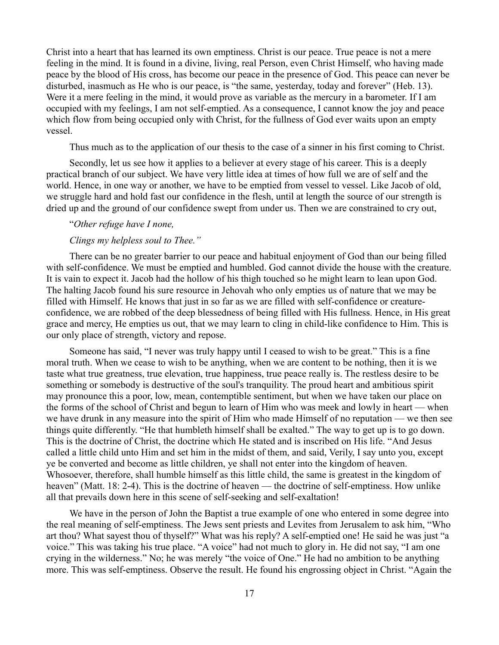Christ into a heart that has learned its own emptiness. Christ is our peace. True peace is not a mere feeling in the mind. It is found in a divine, living, real Person, even Christ Himself, who having made peace by the blood of His cross, has become our peace in the presence of God. This peace can never be disturbed, inasmuch as He who is our peace, is "the same, yesterday, today and forever" (Heb. 13). Were it a mere feeling in the mind, it would prove as variable as the mercury in a barometer. If I am occupied with my feelings, I am not self-emptied. As a consequence, I cannot know the joy and peace which flow from being occupied only with Christ, for the fullness of God ever waits upon an empty vessel.

Thus much as to the application of our thesis to the case of a sinner in his first coming to Christ.

Secondly, let us see how it applies to a believer at every stage of his career. This is a deeply practical branch of our subject. We have very little idea at times of how full we are of self and the world. Hence, in one way or another, we have to be emptied from vessel to vessel. Like Jacob of old, we struggle hard and hold fast our confidence in the flesh, until at length the source of our strength is dried up and the ground of our confidence swept from under us. Then we are constrained to cry out,

# "*Other refuge have I none,*

#### *Clings my helpless soul to Thee."*

There can be no greater barrier to our peace and habitual enjoyment of God than our being filled with self-confidence. We must be emptied and humbled. God cannot divide the house with the creature. It is vain to expect it. Jacob had the hollow of his thigh touched so he might learn to lean upon God. The halting Jacob found his sure resource in Jehovah who only empties us of nature that we may be filled with Himself. He knows that just in so far as we are filled with self-confidence or creatureconfidence, we are robbed of the deep blessedness of being filled with His fullness. Hence, in His great grace and mercy, He empties us out, that we may learn to cling in child-like confidence to Him. This is our only place of strength, victory and repose.

Someone has said, "I never was truly happy until I ceased to wish to be great." This is a fine moral truth. When we cease to wish to be anything, when we are content to be nothing, then it is we taste what true greatness, true elevation, true happiness, true peace really is. The restless desire to be something or somebody is destructive of the soul's tranquility. The proud heart and ambitious spirit may pronounce this a poor, low, mean, contemptible sentiment, but when we have taken our place on the forms of the school of Christ and begun to learn of Him who was meek and lowly in heart — when we have drunk in any measure into the spirit of Him who made Himself of no reputation — we then see things quite differently. "He that humbleth himself shall be exalted." The way to get up is to go down. This is the doctrine of Christ, the doctrine which He stated and is inscribed on His life. "And Jesus called a little child unto Him and set him in the midst of them, and said, Verily, I say unto you, except ye be converted and become as little children, ye shall not enter into the kingdom of heaven. Whosoever, therefore, shall humble himself as this little child, the same is greatest in the kingdom of heaven" (Matt. 18: 2-4). This is the doctrine of heaven — the doctrine of self-emptiness. How unlike all that prevails down here in this scene of self-seeking and self-exaltation!

We have in the person of John the Baptist a true example of one who entered in some degree into the real meaning of self-emptiness. The Jews sent priests and Levites from Jerusalem to ask him, "Who art thou? What sayest thou of thyself?" What was his reply? A self-emptied one! He said he was just "a voice." This was taking his true place. "A voice" had not much to glory in. He did not say, "I am one crying in the wilderness." No; he was merely "the voice of One." He had no ambition to be anything more. This was self-emptiness. Observe the result. He found his engrossing object in Christ. "Again the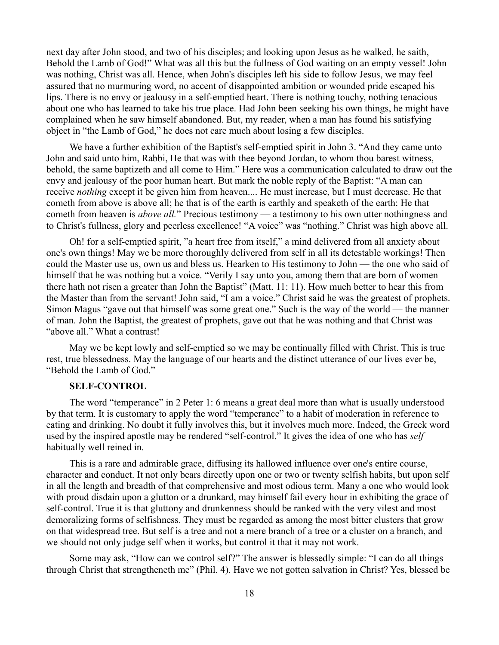next day after John stood, and two of his disciples; and looking upon Jesus as he walked, he saith, Behold the Lamb of God!" What was all this but the fullness of God waiting on an empty vessel! John was nothing, Christ was all. Hence, when John's disciples left his side to follow Jesus, we may feel assured that no murmuring word, no accent of disappointed ambition or wounded pride escaped his lips. There is no envy or jealousy in a self-emptied heart. There is nothing touchy, nothing tenacious about one who has learned to take his true place. Had John been seeking his own things, he might have complained when he saw himself abandoned. But, my reader, when a man has found his satisfying object in "the Lamb of God," he does not care much about losing a few disciples.

We have a further exhibition of the Baptist's self-emptied spirit in John 3. "And they came unto John and said unto him, Rabbi, He that was with thee beyond Jordan, to whom thou barest witness, behold, the same baptizeth and all come to Him." Here was a communication calculated to draw out the envy and jealousy of the poor human heart. But mark the noble reply of the Baptist: "A man can receive *nothing* except it be given him from heaven.... He must increase, but I must decrease. He that cometh from above is above all; he that is of the earth is earthly and speaketh of the earth: He that cometh from heaven is *above all.*" Precious testimony — a testimony to his own utter nothingness and to Christ's fullness, glory and peerless excellence! "A voice" was "nothing." Christ was high above all.

Oh! for a self-emptied spirit, "a heart free from itself," a mind delivered from all anxiety about one's own things! May we be more thoroughly delivered from self in all its detestable workings! Then could the Master use us, own us and bless us. Hearken to His testimony to John — the one who said of himself that he was nothing but a voice. "Verily I say unto you, among them that are born of women there hath not risen a greater than John the Baptist" (Matt. 11: 11). How much better to hear this from the Master than from the servant! John said, "I am a voice." Christ said he was the greatest of prophets. Simon Magus "gave out that himself was some great one." Such is the way of the world — the manner of man. John the Baptist, the greatest of prophets, gave out that he was nothing and that Christ was "above all." What a contrast!

May we be kept lowly and self-emptied so we may be continually filled with Christ. This is true rest, true blessedness. May the language of our hearts and the distinct utterance of our lives ever be, "Behold the Lamb of God."

## **SELF-CONTROL**

The word "temperance" in 2 Peter 1: 6 means a great deal more than what is usually understood by that term. It is customary to apply the word "temperance" to a habit of moderation in reference to eating and drinking. No doubt it fully involves this, but it involves much more. Indeed, the Greek word used by the inspired apostle may be rendered "self-control." It gives the idea of one who has *self* habitually well reined in.

This is a rare and admirable grace, diffusing its hallowed influence over one's entire course, character and conduct. It not only bears directly upon one or two or twenty selfish habits, but upon self in all the length and breadth of that comprehensive and most odious term. Many a one who would look with proud disdain upon a glutton or a drunkard, may himself fail every hour in exhibiting the grace of self-control. True it is that gluttony and drunkenness should be ranked with the very vilest and most demoralizing forms of selfishness. They must be regarded as among the most bitter clusters that grow on that widespread tree. But self is a tree and not a mere branch of a tree or a cluster on a branch, and we should not only judge self when it works, but control it that it may not work.

Some may ask, "How can we control self?" The answer is blessedly simple: "I can do all things through Christ that strengtheneth me" (Phil. 4). Have we not gotten salvation in Christ? Yes, blessed be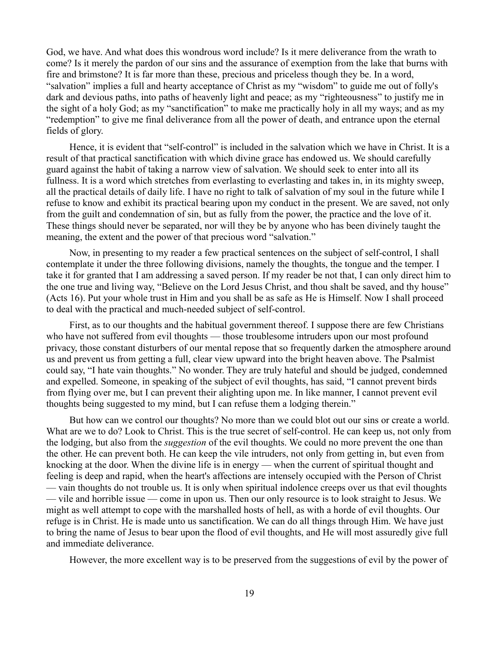God, we have. And what does this wondrous word include? Is it mere deliverance from the wrath to come? Is it merely the pardon of our sins and the assurance of exemption from the lake that burns with fire and brimstone? It is far more than these, precious and priceless though they be. In a word, "salvation" implies a full and hearty acceptance of Christ as my "wisdom" to guide me out of folly's dark and devious paths, into paths of heavenly light and peace; as my "righteousness" to justify me in the sight of a holy God; as my "sanctification" to make me practically holy in all my ways; and as my "redemption" to give me final deliverance from all the power of death, and entrance upon the eternal fields of glory.

Hence, it is evident that "self-control" is included in the salvation which we have in Christ. It is a result of that practical sanctification with which divine grace has endowed us. We should carefully guard against the habit of taking a narrow view of salvation. We should seek to enter into all its fullness. It is a word which stretches from everlasting to everlasting and takes in, in its mighty sweep, all the practical details of daily life. I have no right to talk of salvation of my soul in the future while I refuse to know and exhibit its practical bearing upon my conduct in the present. We are saved, not only from the guilt and condemnation of sin, but as fully from the power, the practice and the love of it. These things should never be separated, nor will they be by anyone who has been divinely taught the meaning, the extent and the power of that precious word "salvation."

Now, in presenting to my reader a few practical sentences on the subject of self-control, I shall contemplate it under the three following divisions, namely the thoughts, the tongue and the temper. I take it for granted that I am addressing a saved person. If my reader be not that, I can only direct him to the one true and living way, "Believe on the Lord Jesus Christ, and thou shalt be saved, and thy house" (Acts 16). Put your whole trust in Him and you shall be as safe as He is Himself. Now I shall proceed to deal with the practical and much-needed subject of self-control.

First, as to our thoughts and the habitual government thereof. I suppose there are few Christians who have not suffered from evil thoughts — those troublesome intruders upon our most profound privacy, those constant disturbers of our mental repose that so frequently darken the atmosphere around us and prevent us from getting a full, clear view upward into the bright heaven above. The Psalmist could say, "I hate vain thoughts." No wonder. They are truly hateful and should be judged, condemned and expelled. Someone, in speaking of the subject of evil thoughts, has said, "I cannot prevent birds from flying over me, but I can prevent their alighting upon me. In like manner, I cannot prevent evil thoughts being suggested to my mind, but I can refuse them a lodging therein."

But how can we control our thoughts? No more than we could blot out our sins or create a world. What are we to do? Look to Christ. This is the true secret of self-control. He can keep us, not only from the lodging, but also from the *suggestion* of the evil thoughts. We could no more prevent the one than the other. He can prevent both. He can keep the vile intruders, not only from getting in, but even from knocking at the door. When the divine life is in energy — when the current of spiritual thought and feeling is deep and rapid, when the heart's affections are intensely occupied with the Person of Christ — vain thoughts do not trouble us. It is only when spiritual indolence creeps over us that evil thoughts — vile and horrible issue — come in upon us. Then our only resource is to look straight to Jesus. We might as well attempt to cope with the marshalled hosts of hell, as with a horde of evil thoughts. Our refuge is in Christ. He is made unto us sanctification. We can do all things through Him. We have just to bring the name of Jesus to bear upon the flood of evil thoughts, and He will most assuredly give full and immediate deliverance.

However, the more excellent way is to be preserved from the suggestions of evil by the power of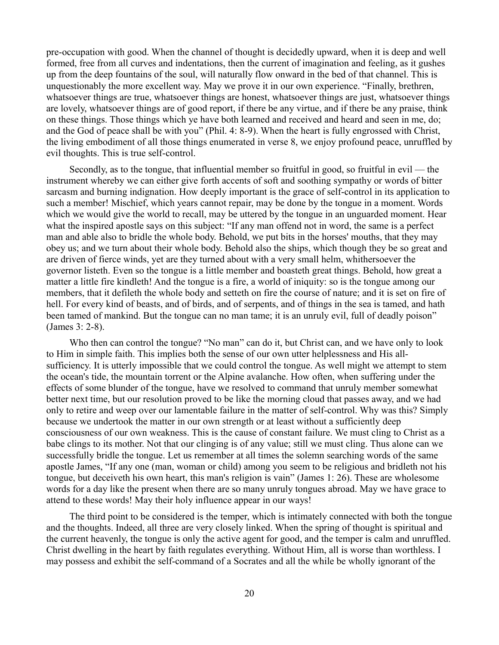pre-occupation with good. When the channel of thought is decidedly upward, when it is deep and well formed, free from all curves and indentations, then the current of imagination and feeling, as it gushes up from the deep fountains of the soul, will naturally flow onward in the bed of that channel. This is unquestionably the more excellent way. May we prove it in our own experience. "Finally, brethren, whatsoever things are true, whatsoever things are honest, whatsoever things are just, whatsoever things are lovely, whatsoever things are of good report, if there be any virtue, and if there be any praise, think on these things. Those things which ye have both learned and received and heard and seen in me, do; and the God of peace shall be with you" (Phil. 4: 8-9). When the heart is fully engrossed with Christ, the living embodiment of all those things enumerated in verse 8, we enjoy profound peace, unruffled by evil thoughts. This is true self-control.

Secondly, as to the tongue, that influential member so fruitful in good, so fruitful in evil — the instrument whereby we can either give forth accents of soft and soothing sympathy or words of bitter sarcasm and burning indignation. How deeply important is the grace of self-control in its application to such a member! Mischief, which years cannot repair, may be done by the tongue in a moment. Words which we would give the world to recall, may be uttered by the tongue in an unguarded moment. Hear what the inspired apostle says on this subject: "If any man offend not in word, the same is a perfect man and able also to bridle the whole body. Behold, we put bits in the horses' mouths, that they may obey us; and we turn about their whole body. Behold also the ships, which though they be so great and are driven of fierce winds, yet are they turned about with a very small helm, whithersoever the governor listeth. Even so the tongue is a little member and boasteth great things. Behold, how great a matter a little fire kindleth! And the tongue is a fire, a world of iniquity: so is the tongue among our members, that it defileth the whole body and setteth on fire the course of nature; and it is set on fire of hell. For every kind of beasts, and of birds, and of serpents, and of things in the sea is tamed, and hath been tamed of mankind. But the tongue can no man tame; it is an unruly evil, full of deadly poison" (James 3: 2-8).

Who then can control the tongue? "No man" can do it, but Christ can, and we have only to look to Him in simple faith. This implies both the sense of our own utter helplessness and His allsufficiency. It is utterly impossible that we could control the tongue. As well might we attempt to stem the ocean's tide, the mountain torrent or the Alpine avalanche. How often, when suffering under the effects of some blunder of the tongue, have we resolved to command that unruly member somewhat better next time, but our resolution proved to be like the morning cloud that passes away, and we had only to retire and weep over our lamentable failure in the matter of self-control. Why was this? Simply because we undertook the matter in our own strength or at least without a sufficiently deep consciousness of our own weakness. This is the cause of constant failure. We must cling to Christ as a babe clings to its mother. Not that our clinging is of any value; still we must cling. Thus alone can we successfully bridle the tongue. Let us remember at all times the solemn searching words of the same apostle James, "If any one (man, woman or child) among you seem to be religious and bridleth not his tongue, but deceiveth his own heart, this man's religion is vain" (James 1: 26). These are wholesome words for a day like the present when there are so many unruly tongues abroad. May we have grace to attend to these words! May their holy influence appear in our ways!

The third point to be considered is the temper, which is intimately connected with both the tongue and the thoughts. Indeed, all three are very closely linked. When the spring of thought is spiritual and the current heavenly, the tongue is only the active agent for good, and the temper is calm and unruffled. Christ dwelling in the heart by faith regulates everything. Without Him, all is worse than worthless. I may possess and exhibit the self-command of a Socrates and all the while be wholly ignorant of the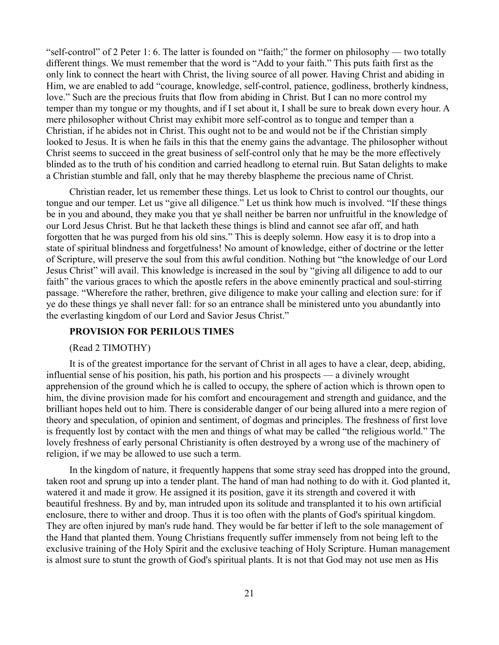"self-control" of 2 Peter 1: 6. The latter is founded on "faith;" the former on philosophy — two totally different things. We must remember that the word is "Add to your faith." This puts faith first as the only link to connect the heart with Christ, the living source of all power. Having Christ and abiding in Him, we are enabled to add "courage, knowledge, self-control, patience, godliness, brotherly kindness, love." Such are the precious fruits that flow from abiding in Christ. But I can no more control my temper than my tongue or my thoughts, and if I set about it, I shall be sure to break down every hour. A mere philosopher without Christ may exhibit more self-control as to tongue and temper than a Christian, if he abides not in Christ. This ought not to be and would not be if the Christian simply looked to Jesus. It is when he fails in this that the enemy gains the advantage. The philosopher without Christ seems to succeed in the great business of self-control only that he may be the more effectively blinded as to the truth of his condition and carried headlong to eternal ruin. But Satan delights to make a Christian stumble and fall, only that he may thereby blaspheme the precious name of Christ.

Christian reader, let us remember these things. Let us look to Christ to control our thoughts, our tongue and our temper. Let us "give all diligence." Let us think how much is involved. "If these things be in you and abound, they make you that ye shall neither be barren nor unfruitful in the knowledge of our Lord Jesus Christ. But he that lacketh these things is blind and cannot see afar off, and hath forgotten that he was purged from his old sins." This is deeply solemn. How easy it is to drop into a state of spiritual blindness and forgetfulness! No amount of knowledge, either of doctrine or the letter of Scripture, will preserve the soul from this awful condition. Nothing but "the knowledge of our Lord Jesus Christ" will avail. This knowledge is increased in the soul by "giving all diligence to add to our faith" the various graces to which the apostle refers in the above eminently practical and soul-stirring passage. "Wherefore the rather, brethren, give diligence to make your calling and election sure: for if ye do these things ye shall never fall: for so an entrance shall be ministered unto you abundantly into the everlasting kingdom of our Lord and Savior Jesus Christ."

# **PROVISION FOR PERILOUS TIMES**

## (Read 2 TIMOTHY)

It is of the greatest importance for the servant of Christ in all ages to have a clear, deep, abiding, influential sense of his position, his path, his portion and his prospects — a divinely wrought apprehension of the ground which he is called to occupy, the sphere of action which is thrown open to him, the divine provision made for his comfort and encouragement and strength and guidance, and the brilliant hopes held out to him. There is considerable danger of our being allured into a mere region of theory and speculation, of opinion and sentiment, of dogmas and principles. The freshness of first love is frequently lost by contact with the men and things of what may be called "the religious world." The lovely freshness of early personal Christianity is often destroyed by a wrong use of the machinery of religion, if we may be allowed to use such a term.

In the kingdom of nature, it frequently happens that some stray seed has dropped into the ground, taken root and sprung up into a tender plant. The hand of man had nothing to do with it. God planted it, watered it and made it grow. He assigned it its position, gave it its strength and covered it with beautiful freshness. By and by, man intruded upon its solitude and transplanted it to his own artificial enclosure, there to wither and droop. Thus it is too often with the plants of God's spiritual kingdom. They are often injured by man's rude hand. They would be far better if left to the sole management of the Hand that planted them. Young Christians frequently suffer immensely from not being left to the exclusive training of the Holy Spirit and the exclusive teaching of Holy Scripture. Human management is almost sure to stunt the growth of God's spiritual plants. It is not that God may not use men as His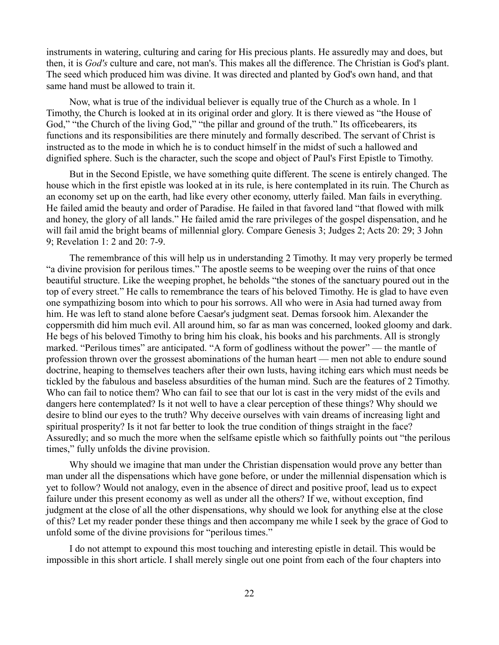instruments in watering, culturing and caring for His precious plants. He assuredly may and does, but then, it is *God's* culture and care, not man's. This makes all the difference. The Christian is God's plant. The seed which produced him was divine. It was directed and planted by God's own hand, and that same hand must be allowed to train it.

Now, what is true of the individual believer is equally true of the Church as a whole. In 1 Timothy, the Church is looked at in its original order and glory. It is there viewed as "the House of God," "the Church of the living God," "the pillar and ground of the truth." Its officebearers, its functions and its responsibilities are there minutely and formally described. The servant of Christ is instructed as to the mode in which he is to conduct himself in the midst of such a hallowed and dignified sphere. Such is the character, such the scope and object of Paul's First Epistle to Timothy.

But in the Second Epistle, we have something quite different. The scene is entirely changed. The house which in the first epistle was looked at in its rule, is here contemplated in its ruin. The Church as an economy set up on the earth, had like every other economy, utterly failed. Man fails in everything. He failed amid the beauty and order of Paradise. He failed in that favored land "that flowed with milk and honey, the glory of all lands." He failed amid the rare privileges of the gospel dispensation, and he will fail amid the bright beams of millennial glory. Compare Genesis 3; Judges 2; Acts 20: 29; 3 John 9; Revelation 1: 2 and 20: 7-9.

The remembrance of this will help us in understanding 2 Timothy. It may very properly be termed "a divine provision for perilous times." The apostle seems to be weeping over the ruins of that once beautiful structure. Like the weeping prophet, he beholds "the stones of the sanctuary poured out in the top of every street." He calls to remembrance the tears of his beloved Timothy. He is glad to have even one sympathizing bosom into which to pour his sorrows. All who were in Asia had turned away from him. He was left to stand alone before Caesar's judgment seat. Demas forsook him. Alexander the coppersmith did him much evil. All around him, so far as man was concerned, looked gloomy and dark. He begs of his beloved Timothy to bring him his cloak, his books and his parchments. All is strongly marked. "Perilous times" are anticipated. "A form of godliness without the power" — the mantle of profession thrown over the grossest abominations of the human heart — men not able to endure sound doctrine, heaping to themselves teachers after their own lusts, having itching ears which must needs be tickled by the fabulous and baseless absurdities of the human mind. Such are the features of 2 Timothy. Who can fail to notice them? Who can fail to see that our lot is cast in the very midst of the evils and dangers here contemplated? Is it not well to have a clear perception of these things? Why should we desire to blind our eyes to the truth? Why deceive ourselves with vain dreams of increasing light and spiritual prosperity? Is it not far better to look the true condition of things straight in the face? Assuredly; and so much the more when the selfsame epistle which so faithfully points out "the perilous times," fully unfolds the divine provision.

Why should we imagine that man under the Christian dispensation would prove any better than man under all the dispensations which have gone before, or under the millennial dispensation which is yet to follow? Would not analogy, even in the absence of direct and positive proof, lead us to expect failure under this present economy as well as under all the others? If we, without exception, find judgment at the close of all the other dispensations, why should we look for anything else at the close of this? Let my reader ponder these things and then accompany me while I seek by the grace of God to unfold some of the divine provisions for "perilous times."

I do not attempt to expound this most touching and interesting epistle in detail. This would be impossible in this short article. I shall merely single out one point from each of the four chapters into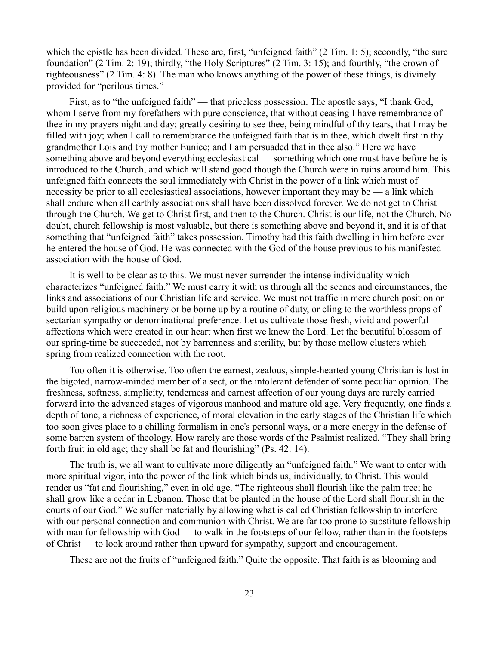which the epistle has been divided. These are, first, "unfeigned faith" (2 Tim. 1: 5); secondly, "the sure foundation" (2 Tim. 2: 19); thirdly, "the Holy Scriptures" (2 Tim. 3: 15); and fourthly, "the crown of righteousness" (2 Tim. 4: 8). The man who knows anything of the power of these things, is divinely provided for "perilous times."

First, as to "the unfeigned faith" — that priceless possession. The apostle says, "I thank God, whom I serve from my forefathers with pure conscience, that without ceasing I have remembrance of thee in my prayers night and day; greatly desiring to see thee, being mindful of thy tears, that I may be filled with joy; when I call to remembrance the unfeigned faith that is in thee, which dwelt first in thy grandmother Lois and thy mother Eunice; and I am persuaded that in thee also." Here we have something above and beyond everything ecclesiastical — something which one must have before he is introduced to the Church, and which will stand good though the Church were in ruins around him. This unfeigned faith connects the soul immediately with Christ in the power of a link which must of necessity be prior to all ecclesiastical associations, however important they may be — a link which shall endure when all earthly associations shall have been dissolved forever. We do not get to Christ through the Church. We get to Christ first, and then to the Church. Christ is our life, not the Church. No doubt, church fellowship is most valuable, but there is something above and beyond it, and it is of that something that "unfeigned faith" takes possession. Timothy had this faith dwelling in him before ever he entered the house of God. He was connected with the God of the house previous to his manifested association with the house of God.

It is well to be clear as to this. We must never surrender the intense individuality which characterizes "unfeigned faith." We must carry it with us through all the scenes and circumstances, the links and associations of our Christian life and service. We must not traffic in mere church position or build upon religious machinery or be borne up by a routine of duty, or cling to the worthless props of sectarian sympathy or denominational preference. Let us cultivate those fresh, vivid and powerful affections which were created in our heart when first we knew the Lord. Let the beautiful blossom of our spring-time be succeeded, not by barrenness and sterility, but by those mellow clusters which spring from realized connection with the root.

Too often it is otherwise. Too often the earnest, zealous, simple-hearted young Christian is lost in the bigoted, narrow-minded member of a sect, or the intolerant defender of some peculiar opinion. The freshness, softness, simplicity, tenderness and earnest affection of our young days are rarely carried forward into the advanced stages of vigorous manhood and mature old age. Very frequently, one finds a depth of tone, a richness of experience, of moral elevation in the early stages of the Christian life which too soon gives place to a chilling formalism in one's personal ways, or a mere energy in the defense of some barren system of theology. How rarely are those words of the Psalmist realized, "They shall bring forth fruit in old age; they shall be fat and flourishing" (Ps. 42: 14).

The truth is, we all want to cultivate more diligently an "unfeigned faith." We want to enter with more spiritual vigor, into the power of the link which binds us, individually, to Christ. This would render us "fat and flourishing," even in old age. "The righteous shall flourish like the palm tree; he shall grow like a cedar in Lebanon. Those that be planted in the house of the Lord shall flourish in the courts of our God." We suffer materially by allowing what is called Christian fellowship to interfere with our personal connection and communion with Christ. We are far too prone to substitute fellowship with man for fellowship with God — to walk in the footsteps of our fellow, rather than in the footsteps of Christ — to look around rather than upward for sympathy, support and encouragement.

These are not the fruits of "unfeigned faith." Quite the opposite. That faith is as blooming and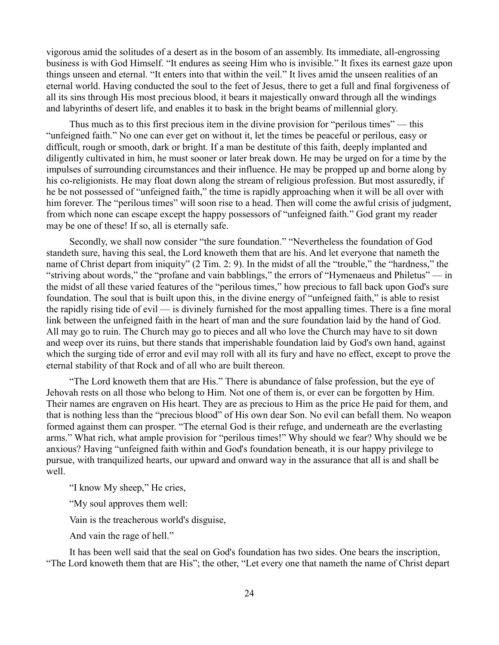vigorous amid the solitudes of a desert as in the bosom of an assembly. Its immediate, all-engrossing business is with God Himself. "It endures as seeing Him who is invisible." It fixes its earnest gaze upon things unseen and eternal. "It enters into that within the veil." It lives amid the unseen realities of an eternal world. Having conducted the soul to the feet of Jesus, there to get a full and final forgiveness of all its sins through His most precious blood, it bears it majestically onward through all the windings and labyrinths of desert life, and enables it to bask in the bright beams of millennial glory.

Thus much as to this first precious item in the divine provision for "perilous times" — this "unfeigned faith." No one can ever get on without it, let the times be peaceful or perilous, easy or difficult, rough or smooth, dark or bright. If a man be destitute of this faith, deeply implanted and diligently cultivated in him, he must sooner or later break down. He may be urged on for a time by the impulses of surrounding circumstances and their influence. He may be propped up and borne along by his co-religionists. He may float down along the stream of religious profession. But most assuredly, if he be not possessed of "unfeigned faith," the time is rapidly approaching when it will be all over with him forever. The "perilous times" will soon rise to a head. Then will come the awful crisis of judgment, from which none can escape except the happy possessors of "unfeigned faith." God grant my reader may be one of these! If so, all is eternally safe.

Secondly, we shall now consider "the sure foundation." "Nevertheless the foundation of God standeth sure, having this seal, the Lord knoweth them that are his. And let everyone that nameth the name of Christ depart from iniquity" (2 Tim. 2: 9). In the midst of all the "trouble," the "hardness," the "striving about words," the "profane and vain babblings," the errors of "Hymenaeus and Philetus" — in the midst of all these varied features of the "perilous times," how precious to fall back upon God's sure foundation. The soul that is built upon this, in the divine energy of "unfeigned faith," is able to resist the rapidly rising tide of evil — is divinely furnished for the most appalling times. There is a fine moral link between the unfeigned faith in the heart of man and the sure foundation laid by the hand of God. All may go to ruin. The Church may go to pieces and all who love the Church may have to sit down and weep over its ruins, but there stands that imperishable foundation laid by God's own hand, against which the surging tide of error and evil may roll with all its fury and have no effect, except to prove the eternal stability of that Rock and of all who are built thereon.

"The Lord knoweth them that are His." There is abundance of false profession, but the eye of Jehovah rests on all those who belong to Him. Not one of them is, or ever can be forgotten by Him. Their names are engraven on His heart. They are as precious to Him as the price He paid for them, and that is nothing less than the "precious blood" of His own dear Son. No evil can befall them. No weapon formed against them can prosper. "The eternal God is their refuge, and underneath are the everlasting arms." What rich, what ample provision for "perilous times!" Why should we fear? Why should we be anxious? Having "unfeigned faith within and God's foundation beneath, it is our happy privilege to pursue, with tranquilized hearts, our upward and onward way in the assurance that all is and shall be well.

"I know My sheep," He cries,

"My soul approves them well:

Vain is the treacherous world's disguise,

And vain the rage of hell."

It has been well said that the seal on God's foundation has two sides. One bears the inscription, "The Lord knoweth them that are His"; the other, "Let every one that nameth the name of Christ depart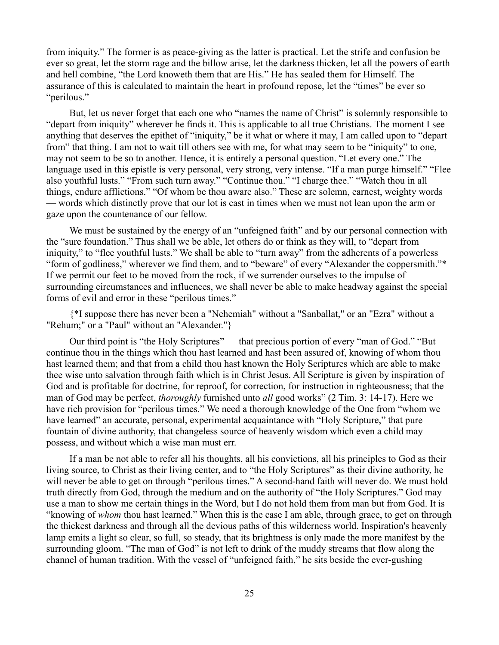from iniquity." The former is as peace-giving as the latter is practical. Let the strife and confusion be ever so great, let the storm rage and the billow arise, let the darkness thicken, let all the powers of earth and hell combine, "the Lord knoweth them that are His." He has sealed them for Himself. The assurance of this is calculated to maintain the heart in profound repose, let the "times" be ever so "perilous."

But, let us never forget that each one who "names the name of Christ" is solemnly responsible to "depart from iniquity" wherever he finds it. This is applicable to all true Christians. The moment I see anything that deserves the epithet of "iniquity," be it what or where it may, I am called upon to "depart from" that thing. I am not to wait till others see with me, for what may seem to be "iniquity" to one, may not seem to be so to another. Hence, it is entirely a personal question. "Let every one." The language used in this epistle is very personal, very strong, very intense. "If a man purge himself." "Flee also youthful lusts." "From such turn away." "Continue thou." "I charge thee." "Watch thou in all things, endure afflictions." "Of whom be thou aware also." These are solemn, earnest, weighty words — words which distinctly prove that our lot is cast in times when we must not lean upon the arm or gaze upon the countenance of our fellow.

We must be sustained by the energy of an "unfeigned faith" and by our personal connection with the "sure foundation." Thus shall we be able, let others do or think as they will, to "depart from iniquity," to "flee youthful lusts." We shall be able to "turn away" from the adherents of a powerless "form of godliness," wherever we find them, and to "beware" of every "Alexander the coppersmith."\* If we permit our feet to be moved from the rock, if we surrender ourselves to the impulse of surrounding circumstances and influences, we shall never be able to make headway against the special forms of evil and error in these "perilous times."

{\*I suppose there has never been a "Nehemiah" without a "Sanballat," or an "Ezra" without a "Rehum;" or a "Paul" without an "Alexander."}

Our third point is "the Holy Scriptures" — that precious portion of every "man of God." "But continue thou in the things which thou hast learned and hast been assured of, knowing of whom thou hast learned them; and that from a child thou hast known the Holy Scriptures which are able to make thee wise unto salvation through faith which is in Christ Jesus. All Scripture is given by inspiration of God and is profitable for doctrine, for reproof, for correction, for instruction in righteousness; that the man of God may be perfect, *thoroughly* furnished unto *all* good works" (2 Tim. 3: 14-17). Here we have rich provision for "perilous times." We need a thorough knowledge of the One from "whom we have learned" an accurate, personal, experimental acquaintance with "Holy Scripture," that pure fountain of divine authority, that changeless source of heavenly wisdom which even a child may possess, and without which a wise man must err.

If a man be not able to refer all his thoughts, all his convictions, all his principles to God as their living source, to Christ as their living center, and to "the Holy Scriptures" as their divine authority, he will never be able to get on through "perilous times." A second-hand faith will never do. We must hold truth directly from God, through the medium and on the authority of "the Holy Scriptures." God may use a man to show me certain things in the Word, but I do not hold them from man but from God. It is "knowing of *whom* thou hast learned." When this is the case I am able, through grace, to get on through the thickest darkness and through all the devious paths of this wilderness world. Inspiration's heavenly lamp emits a light so clear, so full, so steady, that its brightness is only made the more manifest by the surrounding gloom. "The man of God" is not left to drink of the muddy streams that flow along the channel of human tradition. With the vessel of "unfeigned faith," he sits beside the ever-gushing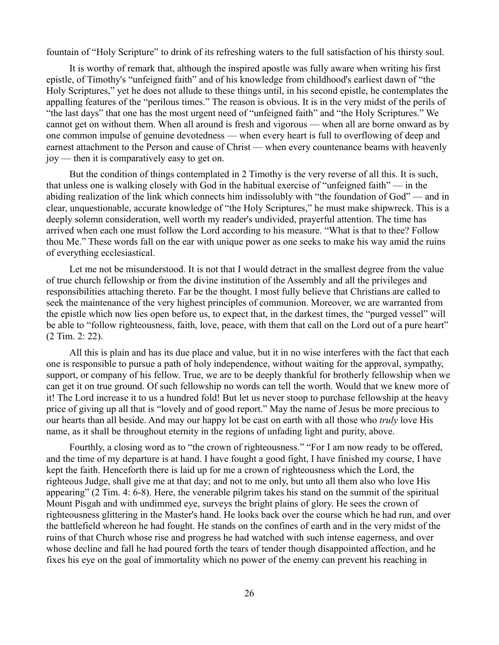fountain of "Holy Scripture" to drink of its refreshing waters to the full satisfaction of his thirsty soul.

It is worthy of remark that, although the inspired apostle was fully aware when writing his first epistle, of Timothy's "unfeigned faith" and of his knowledge from childhood's earliest dawn of "the Holy Scriptures," yet he does not allude to these things until, in his second epistle, he contemplates the appalling features of the "perilous times." The reason is obvious. It is in the very midst of the perils of "the last days" that one has the most urgent need of "unfeigned faith" and "the Holy Scriptures." We cannot get on without them. When all around is fresh and vigorous — when all are borne onward as by one common impulse of genuine devotedness — when every heart is full to overflowing of deep and earnest attachment to the Person and cause of Christ — when every countenance beams with heavenly joy — then it is comparatively easy to get on.

But the condition of things contemplated in 2 Timothy is the very reverse of all this. It is such, that unless one is walking closely with God in the habitual exercise of "unfeigned faith" — in the abiding realization of the link which connects him indissolubly with "the foundation of God" — and in clear, unquestionable, accurate knowledge of "the Holy Scriptures," he must make shipwreck. This is a deeply solemn consideration, well worth my reader's undivided, prayerful attention. The time has arrived when each one must follow the Lord according to his measure. "What is that to thee? Follow thou Me." These words fall on the ear with unique power as one seeks to make his way amid the ruins of everything ecclesiastical.

Let me not be misunderstood. It is not that I would detract in the smallest degree from the value of true church fellowship or from the divine institution of the Assembly and all the privileges and responsibilities attaching thereto. Far be the thought. I most fully believe that Christians are called to seek the maintenance of the very highest principles of communion. Moreover, we are warranted from the epistle which now lies open before us, to expect that, in the darkest times, the "purged vessel" will be able to "follow righteousness, faith, love, peace, with them that call on the Lord out of a pure heart" (2 Tim. 2: 22).

All this is plain and has its due place and value, but it in no wise interferes with the fact that each one is responsible to pursue a path of holy independence, without waiting for the approval, sympathy, support, or company of his fellow. True, we are to be deeply thankful for brotherly fellowship when we can get it on true ground. Of such fellowship no words can tell the worth. Would that we knew more of it! The Lord increase it to us a hundred fold! But let us never stoop to purchase fellowship at the heavy price of giving up all that is "lovely and of good report." May the name of Jesus be more precious to our hearts than all beside. And may our happy lot be cast on earth with all those who *truly* love His name, as it shall be throughout eternity in the regions of unfading light and purity, above.

Fourthly, a closing word as to "the crown of righteousness." "For I am now ready to be offered, and the time of my departure is at hand. I have fought a good fight, I have finished my course, I have kept the faith. Henceforth there is laid up for me a crown of righteousness which the Lord, the righteous Judge, shall give me at that day; and not to me only, but unto all them also who love His appearing" (2 Tim. 4: 6-8). Here, the venerable pilgrim takes his stand on the summit of the spiritual Mount Pisgah and with undimmed eye, surveys the bright plains of glory. He sees the crown of righteousness glittering in the Master's hand. He looks back over the course which he had run, and over the battlefield whereon he had fought. He stands on the confines of earth and in the very midst of the ruins of that Church whose rise and progress he had watched with such intense eagerness, and over whose decline and fall he had poured forth the tears of tender though disappointed affection, and he fixes his eye on the goal of immortality which no power of the enemy can prevent his reaching in